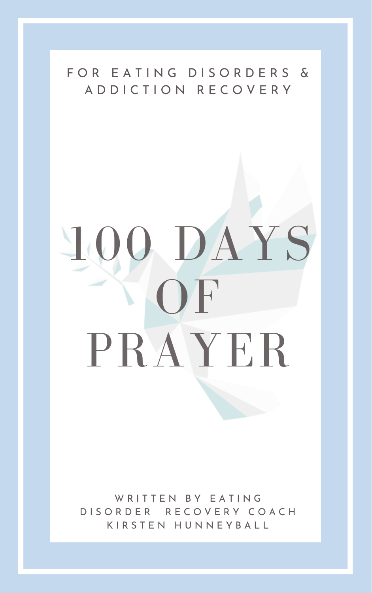# 100 DAYS OF

#### F O R E A T I N G D I S O R D E R S & A D D I C T I O N R E C O V E R Y

# PRAYER

#### W R I T T E N B Y E A T I N G D I S O R D E R R E C O V E R Y C O A C H K I R S T E N H U N N E Y B A L L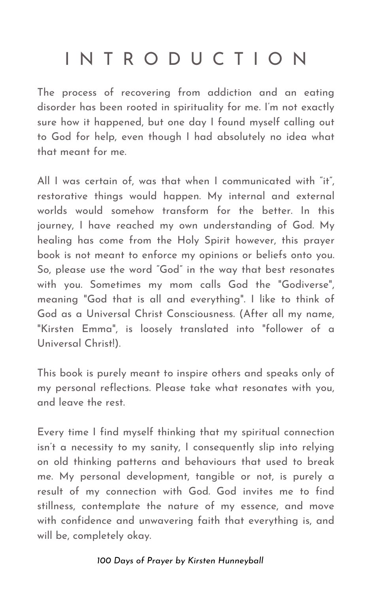The process of recovering from addiction and an eating disorder has been rooted in spirituality for me. I' m not exactly sure how it happened, but one day I found myself calling out to God for help, even though I had absolutely no idea what that meant for me.

All I was certain of, was that when I communicated with "it" , restorative things would happen. My internal and external worlds would somehow transform for the better. In this journey, I have reached my own understanding of God. My healing has come from the Holy Spirit however, this prayer book is not meant to enforce my opinions or beliefs onto you. So, please use the word "God" in the way that best resonates with you. Sometimes my mom calls God the "Godiverse " , meaning "God that is all and everything ". I like to think of God as a Universal Christ Consciousness. (After all my name, "Kirsten Emma " , is loosely translated into "follower of a Universal Christ!).

This book is purely meant to inspire others and speaks only of my personal reflections. Please take what resonates with you, and leave the rest.

Every time I find myself thinking that my spiritual connection isn 't a necessity to my sanity, I consequently slip into relying on old thinking patterns and behaviours that used to break me. My personal development, tangible or not, is purely a result of my connection with God. God invites me to find stillness, contemplate the nature of my essence, and move with confidence and unwavering faith that everything is, and will be, completely okay.

### I N T R O D U C T I O N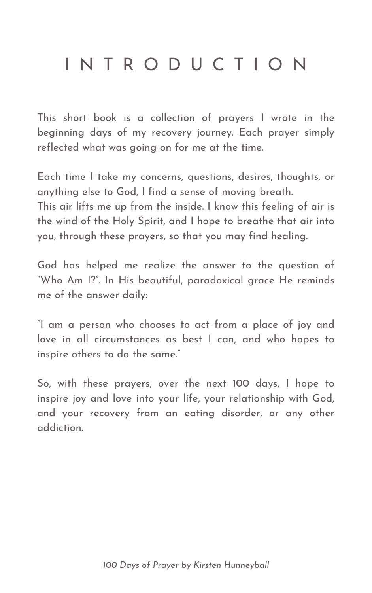This short book is a collection of prayers I wrote in the beginning days of my recovery journey. Each prayer simply reflected what was going on for me at the time.

Each time I take my concerns, questions, desires, thoughts, or anything else to God, I find a sense of moving breath. This air lifts me up from the inside. I know this feeling of air is the wind of the Holy Spirit, and I hope to breathe that air into you, through these prayers, so that you may find healing.

God has helped me realize the answer to the question of "Who Am I?". In His beautiful, paradoxical grace He reminds me of the answer daily:

"I am a person who chooses to act from a place of joy and love in all circumstances as best I can, and who hopes to inspire others to do the same."

So, with these prayers, over the next 100 days, I hope to inspire joy and love into your life, your relationship with God, and your recovery from an eating disorder, or any other addiction.

### I N T R O D U C T I O N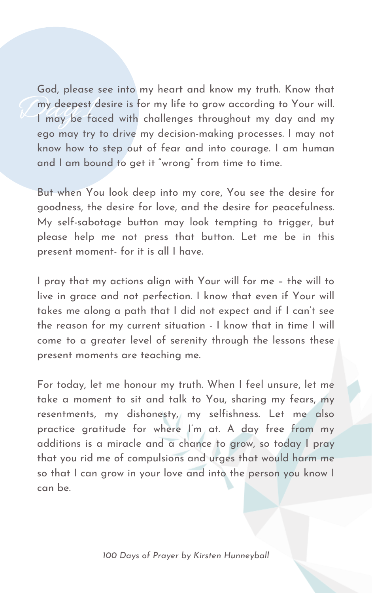my deepest d God, please see into my heart and know my truth. Know that my deepest desire is for my life to grow according to Your will. I may be faced with challenges throughout my day and my ego may try to drive my decision-making processes. I may not know how to step out of fear and into courage. I am human and I am bound to get it " wrong " from time to time.

But when You look deep into my core, You see the desire for goodness, the desire for love, and the desire for peacefulness. My self-sabotage button may look tempting to trigger, but please help me not press that button. Let me be in this present moment- for it is all I have.

I pray that my actions align with Your will for me – the will to live in grace and not perfection. I know that even if Your will takes me along a path that I did not expect and if I can 't see

the reason for my current situation - I know that in time I will come to a greater level of serenity through the lessons these present moments are teaching me.

For today, let me honour my truth. When I feel unsure, let me take a moment to sit and talk to You, sharing my fears, my resentments, my dishonesty, my selfishness. Let me also practice gratitude for where I' m at. A day free from my additions is a miracle and a chance to grow, so today I pray that you rid me of compulsions and urges that would harm me so that I can grow in your love and into the person you know I can be.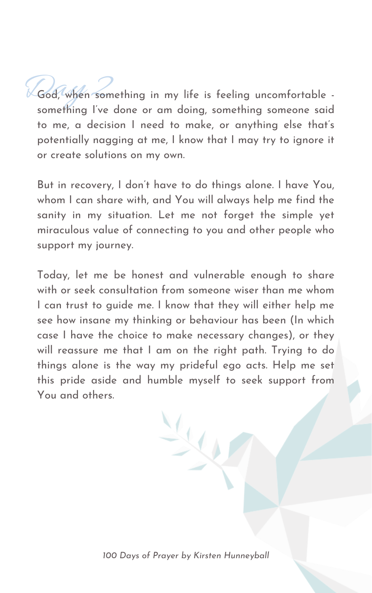Rod, When something in my life is feeling uncomfortable something I' ve done or am doing, something someone said to me, a decision I need to make, or anything else that' s potentially nagging at me, I know that I may try to ignore it or create solutions on my own.

But in recovery, I don 't have to do things alone. I have You, whom I can share with, and You will always help me find the sanity in my situation. Let me not forget the simple yet miraculous value of connecting to you and other people who support my journey.

Today, let me be honest and vulnerable enough to share with or seek consultation from someone wiser than me whom I can trust to guide me. I know that they will either help me see how insane my thinking or behaviour has been (In which case I have the choice to make necessary changes), or they will reassure me that I am on the right path. Trying to do things alone is the way my prideful ego acts. Help me set this pride aside and humble myself to seek support from You and others.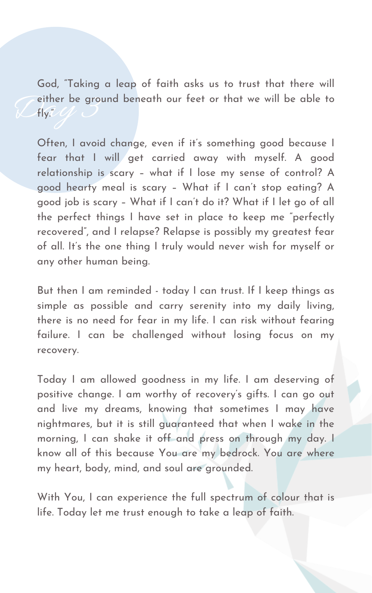Ceither be ground beneath our feet or that we will be able to<br>Cfly.<sup>"</sup> God, "Taking a leap of faith asks us to trust that there will fly."

Often, I avoid change, even if it's something good because I fear that I will get carried away with myself. A good relationship is scary – what if I lose my sense of control? A good hearty meal is scary – What if I can 't stop eating? A good job is scary – What if I can 't do it? What if I let go of all the perfect things I have set in place to keep me " perfectly recovered" , and I relapse? Relapse is possibly my greatest fear of all. It' s the one thing I truly would never wish for myself or any other human being.

But then I am reminded - today I can trust. If I keep things as simple as possible and carry serenity into my daily living, there is no need for fear in my life. I can risk without fearing failure. I can be challenged without losing focus on my recovery.

Today I am allowed goodness in my life. I am deserving of positive change. I am worthy of recovery ' s gifts. I can go out and live my dreams, knowing that sometimes I may have nightmares, but it is still guaranteed that when I wake in the morning, I can shake it off and press on through my day. I know all of this because You are my bedrock. You are where my heart, body, mind, and soul are grounded.

With You, I can experience the full spectrum of colour that is life. Today let me trust enough to take a leap of faith.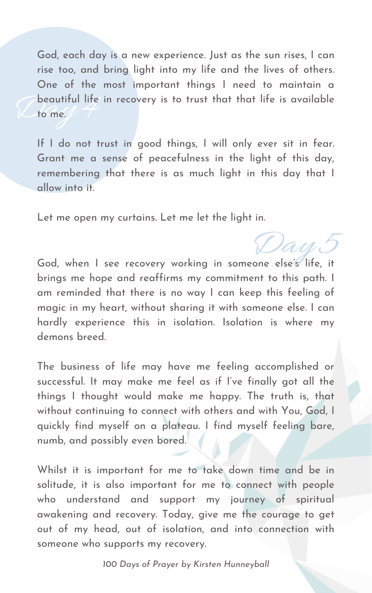Deautiful life in recovery is to trust that that life is available<br>
C to me. God, each day is a new experience. Just as the sun rises, I can rise too, and bring light into my life and the lives of others. One of the most important things I need to maintain a to me.

If I do not trust in good things, I will only ever sit in fear. Grant me a sense of peacefulness in the light of this day, remembering that there is as much light in this day that I allow into it.

God, when I see recovery working in someone else's life, it brings me hope and reaffirms my commitment to this path. I am reminded that there is no way I can keep this feeling of magic in my heart, without sharing it with someone else. I can

Day 5

Let me open my curtains. Let me let the light in.

hardly experience this in isolation. Isolation is where my demons breed.

The business of life may have me feeling accomplished or successful. It may make me feel as if I' ve finally got all the things I thought would make me happy. The truth is, that without continuing to connect with others and with You, God, I quickly find myself on a plateau. I find myself feeling bare, numb, and possibly even bored.

Whilst it is important for me to take down time and be in solitude, it is also important for me to connect with people who understand and support my journey of spiritual awakening and recovery. Today, give me the courage to get out of my head, out of isolation, and into connection with someone who supports my recovery.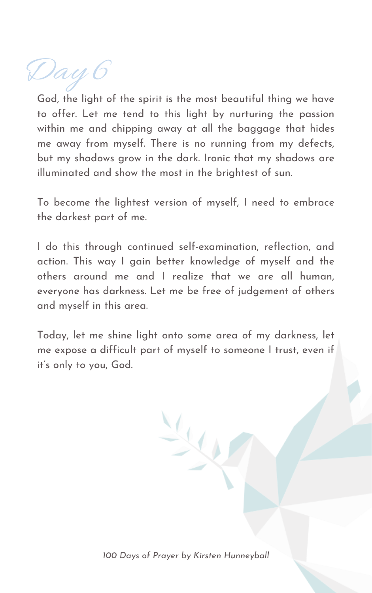Day 6

God, the light of the spirit is the most beautiful thing we have to offer. Let me tend to this light by nurturing the passion within me and chipping away at all the baggage that hides me away from myself. There is no running from my defects, but my shadows grow in the dark. Ironic that my shadows are illuminated and show the most in the brightest of sun.

To become the lightest version of myself, I need to embrace the darkest part of me.

I do this through continued self-examination, reflection, and action. This way I gain better knowledge of myself and the others around me and I realize that we are all human, everyone has darkness. Let me be free of judgement of others and myself in this area.

Today, let me shine light onto some area of my darkness, let me expose a difficult part of myself to someone I trust, even if it' s only to you, God.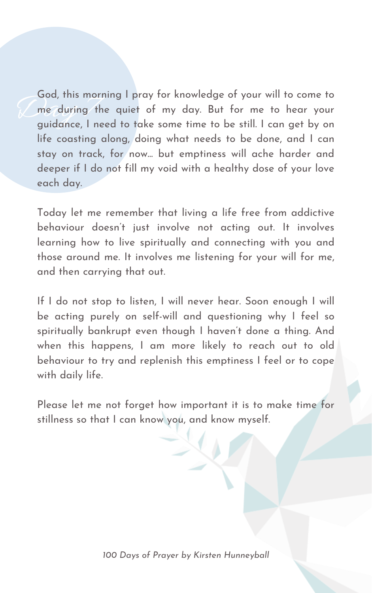God, rnis mort<br>me during the<br>guidance, I ne God, this morning I pray for knowledge of your will to come to me during the quiet of my day. But for me to hear your guidance, I need to take some time to be still. I can get by on life coasting along, doing what needs to be done, and I can stay on track, for now... but emptiness will ache harder and deeper if I do not fill my void with a healthy dose of your love each day.

Today let me remember that living a life free from addictive behaviour doesn 't just involve not acting out. It involves learning how to live spiritually and connecting with you and those around me. It involves me listening for your will for me, and then carrying that out.

If I do not stop to listen, I will never hear. Soon enough I will be acting purely on self-will and questioning why I feel so spiritually bankrupt even though I haven 't done a thing. And when this happens, I am more likely to reach out to old behaviour to try and replenish this emptiness I feel or to cope with daily life.

Please let me not forget how important it is to make time for stillness so that I can know you, and know myself.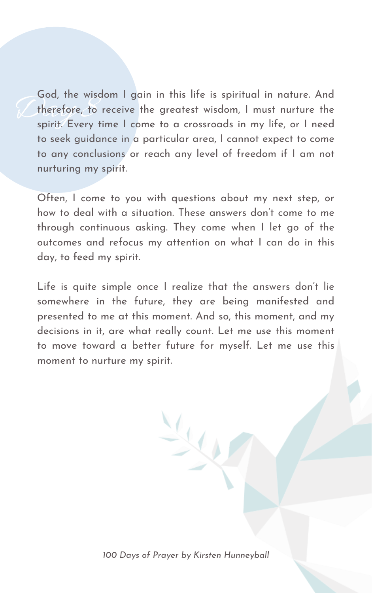God, the wisden<br>therefore, to r<br>spirit. Every ti God, the wisdom I gain in this life is spiritual in nature. And therefore, to receive the greatest wisdom, I must nurture the spirit. Every time I come to a crossroads in my life, or I need to seek guidance in a particular area, I cannot expect to come to any conclusions or reach any level of freedom if I am not nurturing my spirit.

Often, I come to you with questions about my next step, or how to deal with a situation. These answers don 't come to me through continuous asking. They come when I let go of the outcomes and refocus my attention on what I can do in this day, to feed my spirit.

Life is quite simple once I realize that the answers don 't lie somewhere in the future, they are being manifested and presented to me at this moment. And so, this moment, and my decisions in it, are what really count. Let me use this moment to move toward a better future for myself. Let me use this moment to nurture my spirit.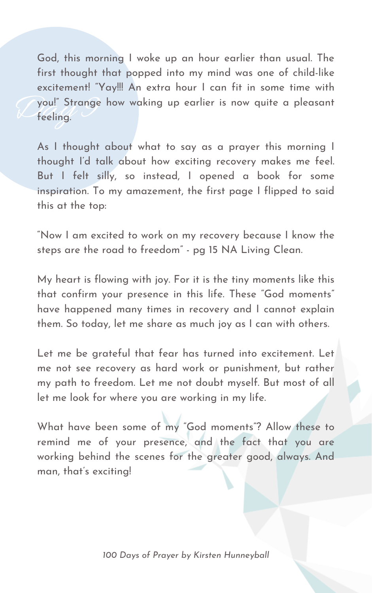Vou!" Strange<br>Veeling. God, this morning I woke up an hour earlier than usual. The first thought that popped into my mind was one of child-like excitement! "Yay!!! An extra hour I can fit in some time with you!" Strange how waking up earlier is now quite a pleasant feeling.

As I thought about what to say as a prayer this morning I thought I'd talk about how exciting recovery makes me feel. But I felt silly, so instead, I opened a book for some inspiration. To my amazement, the first page I flipped to said this at the top:

"Now I am excited to work on my recovery because I know the steps are the road to freedom " - pg 15 NA Living Clean.

My heart is flowing with joy. For it is the tiny moments like this that confirm your presence in this life. These "God moments " have happened many times in recovery and I cannot explain

them. So today, let me share as much joy as I can with others.

Let me be grateful that fear has turned into excitement. Let me not see recovery as hard work or punishment, but rather my path to freedom. Let me not doubt myself. But most of all let me look for where you are working in my life.

What have been some of my "God moments "? Allow these to remind me of your presence, and the fact that you are working behind the scenes for the greater good, always. And man, that' s exciting!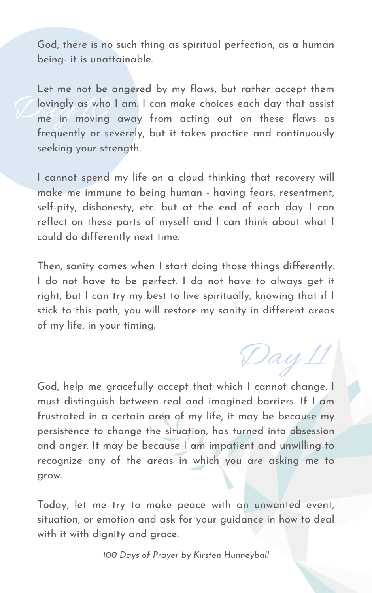God, there is no such thing as spiritual perfection, as a human being- it is unattainable.

Valle de la provincia de la provincia de la provincia de la provincia de la provincia de la provincia de la pr<br>De la provincia de la provincia de la provincia de la provincia de la provincia de la provincia de la provinci<br> Let me not be angered by my flaws, but rather accept them lovingly as who I am. I can make choices each day that assist me in moving away from acting out on these flaws as frequently or severely, but it takes practice and continuously seeking your strength.

I cannot spend my life on a cloud thinking that recovery will make me immune to being human - having fears, resentment, self-pity, dishonesty, etc. but at the end of each day I can reflect on these parts of myself and I can think about what I could do differently next time.

Then, sanity comes when I start doing those things differently. I do not have to be perfect. I do not have to always get it right, but I can try my best to live spiritually, knowing that if I stick to this path, you will restore my sanity in different areas

of my life, in your timing.

God, help me gracefully accept that which I cannot change. I must distinguish between real and imagined barriers. If I am frustrated in a certain area of my life, it may be because my persistence to change the situation, has turned into obsession and anger. It may be because I am impatient and unwilling to recognize any of the areas in which you are asking me to grow.

Today, let me try to make peace with an unwanted event, situation, or emotion and ask for your guidance in how to deal with it with dignity and grace.

Day 11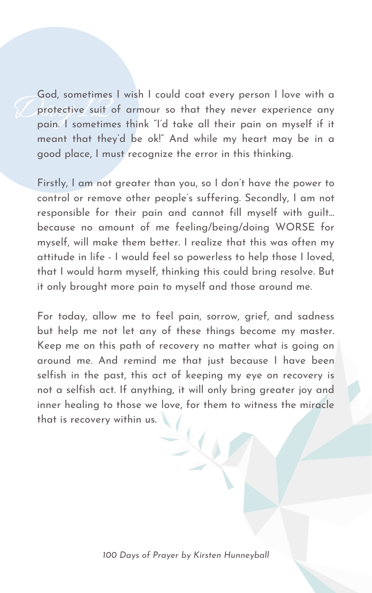Goa, sometimes I wish I could coat every person I love with a<br>protective suit of armour so that they never experience any<br>pain. I sometimes think "I'd take all their pain on myself if it God, sometimes I wish I could coat every person I love with a protective suit of armour so that they never experience any meant that they 'd be ok!" And while my heart may be in a good place, I must recognize the error in this thinking.

Firstly, I am not greater than you, so I don 't have the power to control or remove other people's suffering. Secondly, I am not responsible for their pain and cannot fill myself with guilt... because no amount of me feeling/being/doing WORSE for myself, will make them better. I realize that this was often my attitude in life - I would feel so powerless to help those I loved, that I would harm myself, thinking this could bring resolve. But it only brought more pain to myself and those around me.

For today, allow me to feel pain, sorrow, grief, and sadness but help me not let any of these things become my master. Keep me on this path of recovery no matter what is going on around me. And remind me that just because I have been selfish in the past, this act of keeping my eye on recovery is not a selfish act. If anything, it will only bring greater joy and inner healing to those we love, for them to witness the miracle that is recovery within us.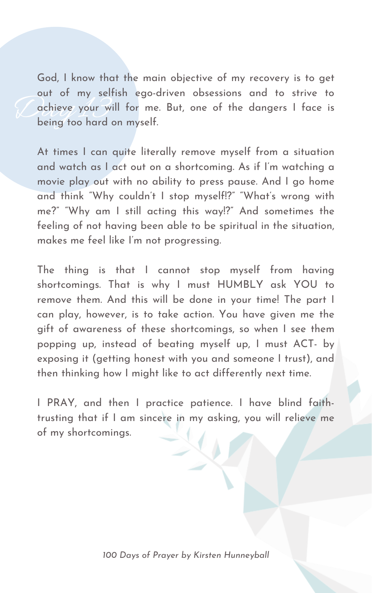Cachieve your will<br>being too hard o God, I know that the main objective of my recovery is to get out of my selfish ego-driven obsessions and to strive to achieve your will for me. But, one of the dangers I face is being too hard on myself.

At times I can quite literally remove myself from a situation and watch as I act out on a shortcoming. As if I' m watching a movie play out with no ability to press pause. And I go home and think "Why couldn 't I stop myself!?" "What' s wrong with me?" "Why am I still acting this way!?" And sometimes the feeling of not having been able to be spiritual in the situation, makes me feel like I' m not progressing.

The thing is that I cannot stop myself from having shortcomings. That is why I must HUMBLY ask YOU to remove them. And this will be done in your time! The part I can play, however, is to take action. You have given me the gift of awareness of these shortcomings, so when I see them popping up, instead of beating myself up, I must ACT- by exposing it (getting honest with you and someone I trust), and then thinking how I might like to act differently next time.

I PRAY, and then I practice patience. I have blind faithtrusting that if I am sincere in my asking, you will relieve me of my shortcomings.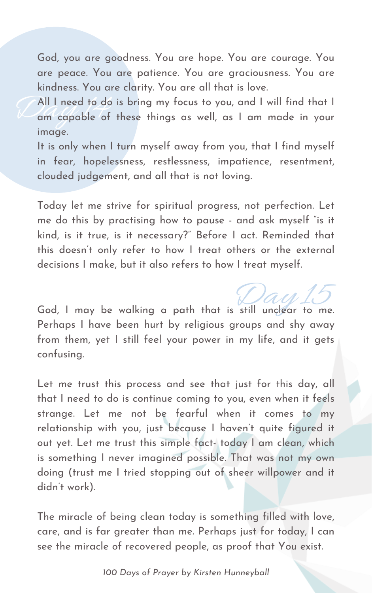God, you are goodness. You are hope. You are courage. You are peace. You are patience. You are graciousness. You are kindness. You are clarity. You are all that is love.

All I need to do<br>am capable of All I need to do is bring my focus to you, and I will find that I am capable of these things as well, as I am made in your image.

It is only when I turn myself away from you, that I find myself in fear, hopelessness, restlessness, impatience, resentment, clouded judgement, and all that is not loving.

Today let me strive for spiritual progress, not perfection. Let me do this by practising how to pause - and ask myself "is it kind, is it true, is it necessary?" Before I act. Reminded that this doesn 't only refer to how I treat others or the external decisions I make, but it also refers to how I treat myself.

God, I may be walking a path that is still unclear to me.

*100 Days of Prayer by Kirsten Hunneyball*

Perhaps I have been hurt by religious groups and shy away from them, yet I still feel your power in my life, and it gets confusing.

Let me trust this process and see that just for this day, all that I need to do is continue coming to you, even when it feels strange. Let me not be fearful when it comes to my relationship with you, just because I haven 't quite figured it out yet. Let me trust this simple fact- today I am clean, which is something I never imagined possible. That was not my own doing (trust me I tried stopping out of sheer willpower and it didn 't work).

The miracle of being clean today is something filled with love, care, and is far greater than me. Perhaps just for today, I can see the miracle of recovered people, as proof that You exist.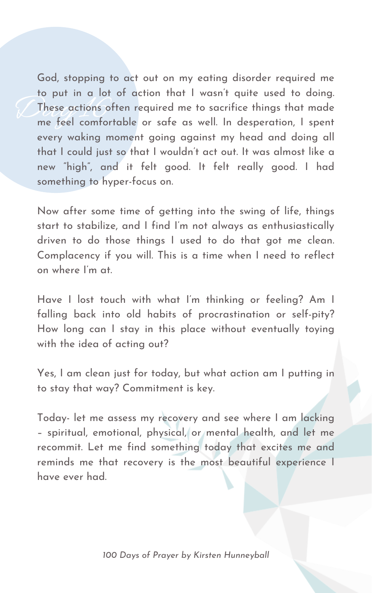These actions often required me to sacrifice things that made<br>me feel comfortable or safe as well. In desperation, I spent God, stopping to act out on my eating disorder required me to put in a lot of action that I wasn 't quite used to doing. These actions often required me to sacrifice things that made every waking moment going against my head and doing all that I could just so that I wouldn 't act out. It was almost like a new "high" , and it felt good. It felt really good. I had something to hyper-focus on.

Now after some time of getting into the swing of life, things start to stabilize, and I find I' m not always as enthusiastically driven to do those things I used to do that got me clean. Complacency if you will. This is a time when I need to reflect on where I' m at.

Have I lost touch with what I' m thinking or feeling? Am I falling back into old habits of procrastination or self-pity? How long can I stay in this place without eventually toying with the idea of acting out?

Yes, I am clean just for today, but what action am I putting in to stay that way? Commitment is key.

Today- let me assess my recovery and see where I am lacking – spiritual, emotional, physical, or mental health, and let me recommit. Let me find something today that excites me and reminds me that recovery is the most beautiful experience I have ever had.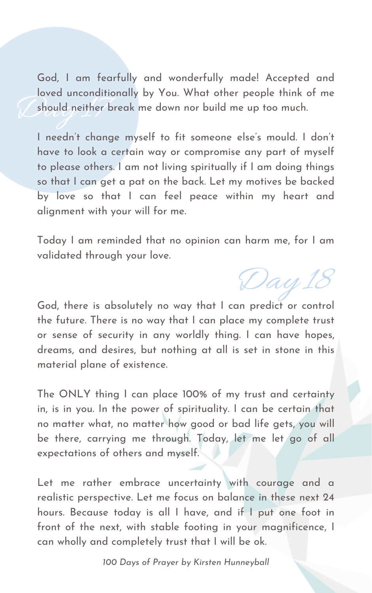Should neither b God, I am fearfully and wonderfully made! Accepted and loved unconditionally by You. What other people think of me should neither break me down nor build me up too much.

I needn 't change myself to fit someone else ' s mould. I don 't have to look a certain way or compromise any part of myself to please others. I am not living spiritually if I am doing things so that I can get a pat on the back. Let my motives be backed by love so that I can feel peace within my heart and alignment with your will for me.

Today I am reminded that no opinion can harm me, for I am validated through your love.

God, there is absolutely no way that I can predict or control the future. There is no way that I can place my complete trust or sense of security in any worldly thing. I can have hopes, dreams, and desires, but nothing at all is set in stone in this material plane of existence.

The ONLY thing I can place 100% of my trust and certainty in, is in you. In the power of spirituality. I can be certain that no matter what, no matter how good or bad life gets, you will be there, carrying me through. Today, let me let go of all expectations of others and myself.

Let me rather embrace uncertainty with courage and a realistic perspective. Let me focus on balance in these next 24 hours. Because today is all I have, and if I put one foot in front of the next, with stable footing in your magnificence, I can wholly and completely trust that I will be ok.

Day 18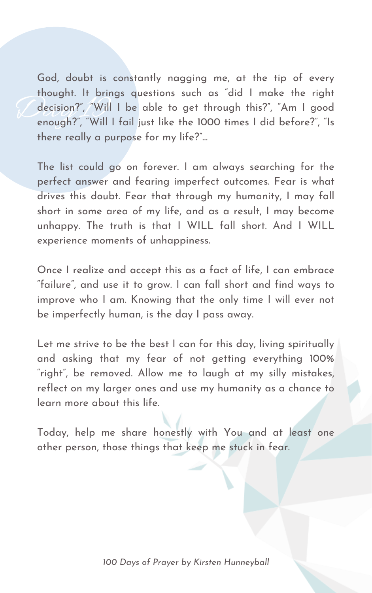decision?", "Will<br>enough?", "Will I God, doubt is constantly nagging me, at the tip of every thought. It brings questions such as "did I make the right decision?" , "Will I be able to get through this?" , "Am I good enough?" , "Will I fail just like the 1000 times I did before?" , "Is there really a purpose for my life?"...

The list could go on forever. I am always searching for the perfect answer and fearing imperfect outcomes. Fear is what drives this doubt. Fear that through my humanity, I may fall short in some area of my life, and as a result, I may become unhappy. The truth is that I WILL fall short. And I WILL experience moments of unhappiness.

Let me strive to be the best I can for this day, living spiritually and asking that my fear of not getting everything 100% " right" , be removed. Allow me to laugh at my silly mistakes, reflect on my larger ones and use my humanity as a chance to learn more about this life.

Once I realize and accept this as a fact of life, I can embrace "failure " , and use it to grow. I can fall short and find ways to improve who I am. Knowing that the only time I will ever not be imperfectly human, is the day I pass away.

Today, help me share honestly with You and at least one other person, those things that keep me stuck in fear.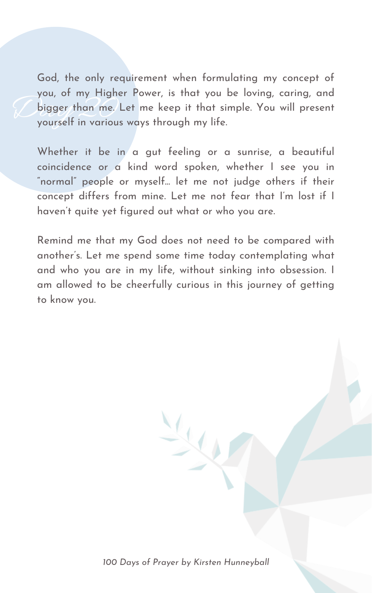bigger than me. L<br>yourself in various God, the only requirement when formulating my concept of you, of my Higher Power, is that you be loving, caring, and bigger than me. Let me keep it that simple. You will present yourself in various ways through my life.

Whether it be in a gut feeling or a sunrise, a beautiful coincidence or a kind word spoken, whether I see you in " normal" people or myself... let me not judge others if their concept differs from mine. Let me not fear that I' m lost if I haven 't quite yet figured out what or who you are.

Remind me that my God does not need to be compared with another ' s. Let me spend some time today contemplating what and who you are in my life, without sinking into obsession. I am allowed to be cheerfully curious in this journey of getting to know you.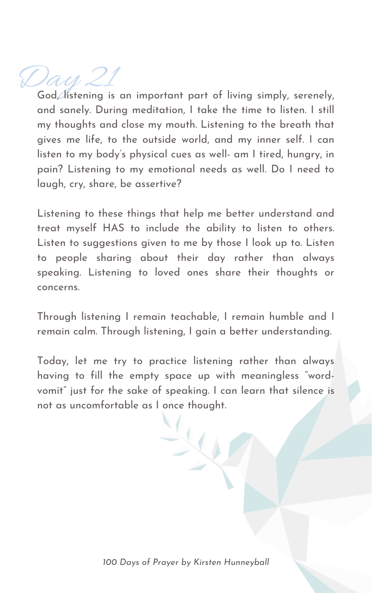## Day 21

God, listening is an important part of living simply, serenely, and sanely. During meditation, I take the time to listen. I still my thoughts and close my mouth. Listening to the breath that gives me life, to the outside world, and my inner self. I can listen to my body ' s physical cues as well- am I tired, hungry, in pain? Listening to my emotional needs as well. Do I need to laugh, cry, share, be assertive?

Listening to these things that help me better understand and treat myself HAS to include the ability to listen to others. Listen to suggestions given to me by those I look up to. Listen to people sharing about their day rather than always speaking. Listening to loved ones share their thoughts or concerns.

Through listening I remain teachable, I remain humble and I remain calm. Through listening, I gain a better understanding.

Today, let me try to practice listening rather than always having to fill the empty space up with meaningless " wordvomit" just for the sake of speaking. I can learn that silence is not as uncomfortable as I once thought.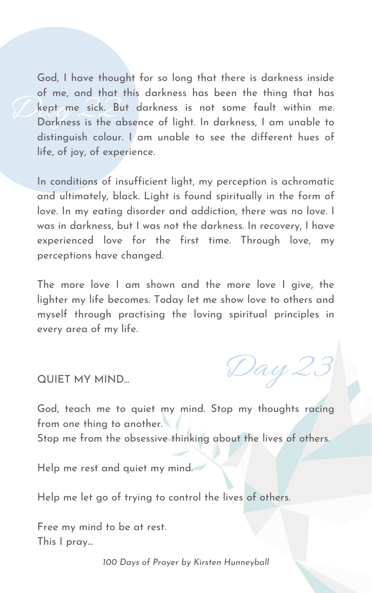Lept me sick. But darkness is not some fault within me.<br>Darkness is the absence of light. In darkness, I am unable to God, I have thought for so long that there is darkness inside of me, and that this darkness has been the thing that has kept me sick. But darkness is not some fault within me. distinguish colour. I am unable to see the different hues of life, of joy, of experience.

In conditions of insufficient light, my perception is achromatic and ultimately, black. Light is found spiritually in the form of love. In my eating disorder and addiction, there was no love. I was in darkness, but I was not the darkness. In recovery, I have experienced love for the first time. Through love, my perceptions have changed.

The more love I am shown and the more love I give, the lighter my life becomes. Today let me show love to others and myself through practising the loving spiritual principles in every area of my life.

QUIET MY MIND...

God, teach me to quiet my mind. Stop my thoughts racing from one thing to another. Stop me from the obsessive thinking about the lives of others.

Help me rest and quiet my mind.

Help me let go of trying to control the lives of others.

Free my mind to be at rest. This I pray...

Day 23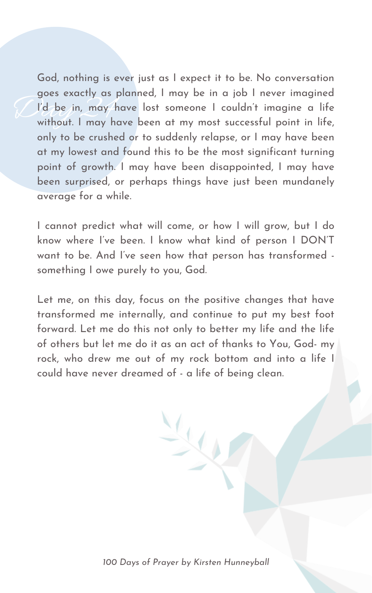Goes exactly as p<br>I'd be in, may he<br>without. I may ha God, nothing is ever just as I expect it to be. No conversation goes exactly as planned, I may be in a job I never imagined I'd be in, may have lost someone I couldn 't imagine a life without. I may have been at my most successful point in life, only to be crushed or to suddenly relapse, or I may have been at my lowest and found this to be the most significant turning point of growth. I may have been disappointed, I may have been surprised, or perhaps things have just been mundanely average for a while.

I cannot predict what will come, or how I will grow, but I do know where I' ve been. I know what kind of person I DON'T want to be. And I' ve seen how that person has transformed something I owe purely to you, God.

Let me, on this day, focus on the positive changes that have transformed me internally, and continue to put my best foot forward. Let me do this not only to better my life and the life of others but let me do it as an act of thanks to You, God- my rock, who drew me out of my rock bottom and into a life I could have never dreamed of - a life of being clean.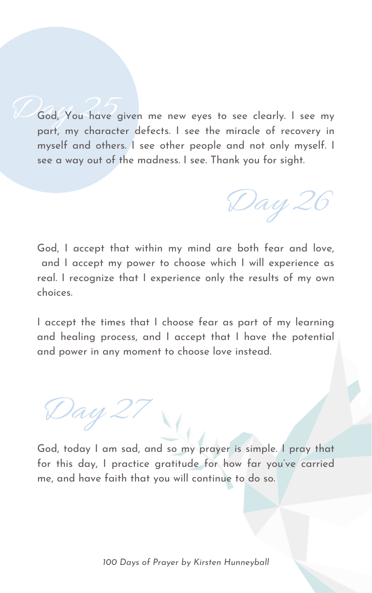God, You have given me new eyes to see clearly. I see my part, my character defects. I see the miracle of recovery in myself and others. I see other people and not only myself. I see a way out of the madness. I see. Thank you for sight.

God, I accept that within my mind are both fear and love, and I accept my power to choose which I will experience as real. I recognize that I experience only the results of my own choices.

I accept the times that I choose fear as part of my learning and healing process, and I accept that I have the potential and power in any moment to choose love instead.

Day 26

God, today I am sad, and so my prayer is simple. I pray that for this day, I practice gratitude for how far you've carried me, and have faith that you will continue to do so.

Day 27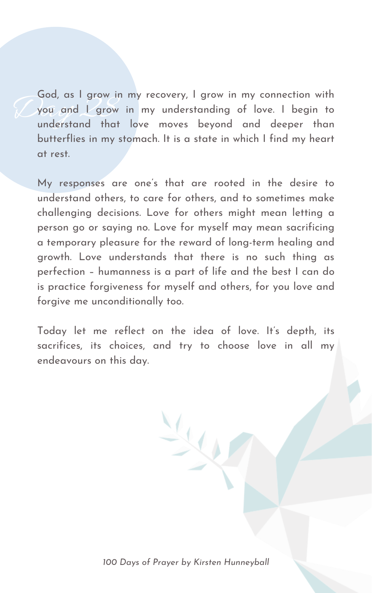God, as I grow in<br>Evou and L grow<br>understand that God, as I grow in my recovery, I grow in my connection with you and I grow in my understanding of love. I begin to understand that love moves beyond and deeper than butterflies in my stomach. It is a state in which I find my heart at rest.

Today let me reflect on the idea of love. It's depth, its sacrifices, its choices, and try to choose love in all my endeavours on this day.

My responses are one ' s that are rooted in the desire to understand others, to care for others, and to sometimes make challenging decisions. Love for others might mean letting a person go or saying no. Love for myself may mean sacrificing a temporary pleasure for the reward of long-term healing and growth. Love understands that there is no such thing as perfection – humanness is a part of life and the best I can do is practice forgiveness for myself and others, for you love and forgive me unconditionally too.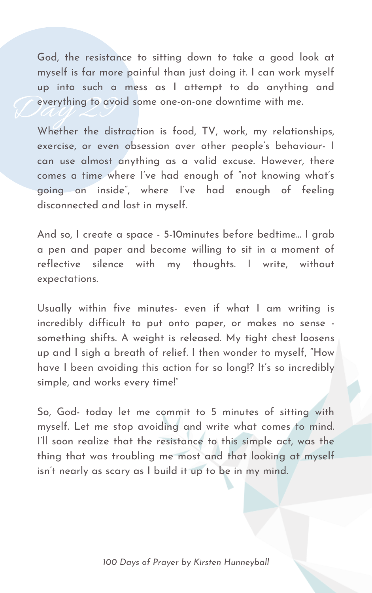Carything to avoir God, the resistance to sitting down to take a good look at myself is far more painful than just doing it. I can work myself up into such a mess as I attempt to do anything and everything to avoid some one-on-one downtime with me.

Whether the distraction is food, TV, work, my relationships, exercise, or even obsession over other people's behaviour- I can use almost anything as a valid excuse. However, there comes a time where I' ve had enough of " not knowing what' s going on inside " , where I' ve had enough of feeling disconnected and lost in myself.

And so, I create a space - 5-10minutes before bedtime... I grab a pen and paper and become willing to sit in a moment of reflective silence with my thoughts. I write, without expectations.

Usually within five minutes- even if what I am writing is

incredibly difficult to put onto paper, or makes no sense something shifts. A weight is released. My tight chest loosens up and I sigh a breath of relief. I then wonder to myself, "How have I been avoiding this action for so long!? It' s so incredibly simple, and works every time!"

So, God- today let me commit to 5 minutes of sitting with myself. Let me stop avoiding and write what comes to mind. I'll soon realize that the resistance to this simple act, was the thing that was troubling me most and that looking at myself isn 't nearly as scary as I build it up to be in my mind.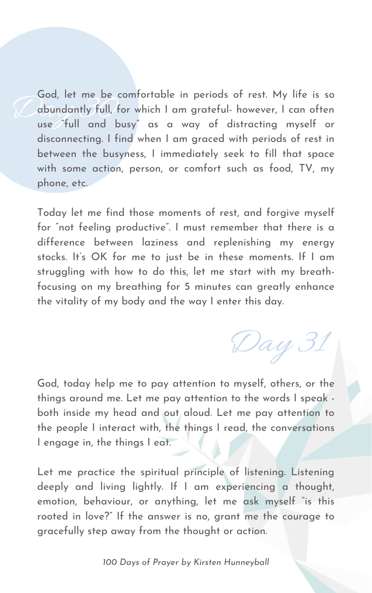Goa, iet me be comfortable in periods of rest. My life is so<br>abundantly full, for which I am grateful- however, I can often<br>use "full and busy" as a way of distracting myself or God, let me be comfortable in periods of rest. My life is so abundantly full, for which I am grateful- however, I can often disconnecting. I find when I am graced with periods of rest in between the busyness, I immediately seek to fill that space with some action, person, or comfort such as food, TV, my phone, etc.

God, today help me to pay attention to myself, others, or the things around me. Let me pay attention to the words I speak both inside my head and out aloud. Let me pay attention to the people I interact with, the things I read, the conversations I engage in, the things I eat.

Today let me find those moments of rest, and forgive myself for "not feeling productive". I must remember that there is a difference between laziness and replenishing my energy stocks. It' s OK for me to just be in these moments. If I am struggling with how to do this, let me start with my breathfocusing on my breathing for 5 minutes can greatly enhance the vitality of my body and the way I enter this day.

Let me practice the spiritual principle of listening. Listening deeply and living lightly. If I am experiencing a thought, emotion, behaviour, or anything, let me ask myself "is this rooted in love?" If the answer is no, grant me the courage to gracefully step away from the thought or action.

Day 31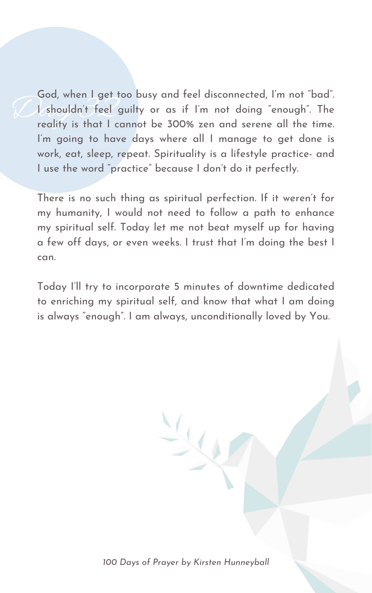God, when I get to<br>I shouldn't feel give<br>reality is that I ca God, when I get too busy and feel disconnected, I' m not "bad". I shouldn't feel guilty or as if I'm not doing "enough". The reality is that I cannot be 300% zen and serene all the time. I' m going to have days where all I manage to get done is work, eat, sleep, repeat. Spirituality is a lifestyle practice- and I use the word " practice " because I don 't do it perfectly.

There is no such thing as spiritual perfection. If it weren 't for my humanity, I would not need to follow a path to enhance my spiritual self. Today let me not beat myself up for having a few off days, or even weeks. I trust that I' m doing the best I can.

Today I'll try to incorporate 5 minutes of downtime dedicated to enriching my spiritual self, and know that what I am doing is always " enough". I am always, unconditionally loved by You.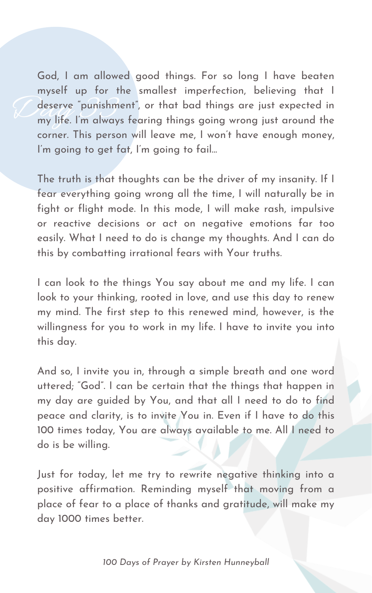deserve "punishment", or that bad things are just expected in<br>my life. I'm always fearing things going wrong just around the God, I am allowed good things. For so long I have beaten myself up for the smallest imperfection, believing that I deserve " punishment" , or that bad things are just expected in corner. This person will leave me, I won 't have enough money, I'm going to get fat, I'm going to fail...

The truth is that thoughts can be the driver of my insanity. If I fear everything going wrong all the time, I will naturally be in fight or flight mode. In this mode, I will make rash, impulsive or reactive decisions or act on negative emotions far too easily. What I need to do is change my thoughts. And I can do this by combatting irrational fears with Your truths.

I can look to the things You say about me and my life. I can look to your thinking, rooted in love, and use this day to renew my mind. The first step to this renewed mind, however, is the willingness for you to work in my life. I have to invite you into this day.

And so, I invite you in, through a simple breath and one word uttered; "God". I can be certain that the things that happen in my day are guided by You, and that all I need to do to find peace and clarity, is to invite You in. Even if I have to do this 100 times today, You are always available to me. All I need to do is be willing.

Just for today, let me try to rewrite negative thinking into a positive affirmation. Reminding myself that moving from a place of fear to a place of thanks and gratitude, will make my day 1000 times better.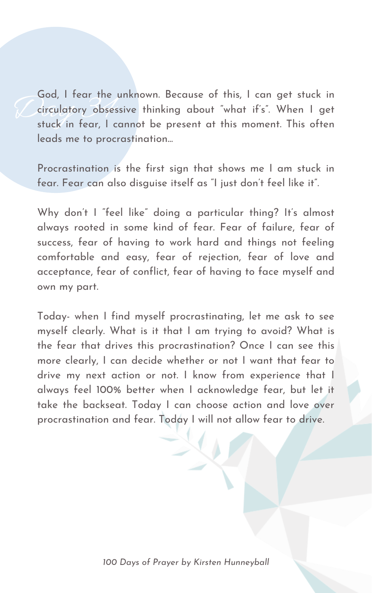God, I rear the u<br>circulatory obsess<br>stuck in fear, I co God, I fear the unknown. Because of this, I can get stuck in circulatory obsessive thinking about "what if' s ". When I get stuck in fear, I cannot be present at this moment. This often leads me to procrastination...

Procrastination is the first sign that shows me I am stuck in fear. Fear can also disguise itself as "I just don 't feel like it".

Why don't I "feel like" doing a particular thing? It's almost always rooted in some kind of fear. Fear of failure, fear of success, fear of having to work hard and things not feeling comfortable and easy, fear of rejection, fear of love and acceptance, fear of conflict, fear of having to face myself and own my part.

Today- when I find myself procrastinating, let me ask to see myself clearly. What is it that I am trying to avoid? What is the fear that drives this procrastination? Once I can see this more clearly, I can decide whether or not I want that fear to drive my next action or not. I know from experience that I always feel 100% better when I acknowledge fear, but let it take the backseat. Today I can choose action and love over procrastination and fear. Today I will not allow fear to drive.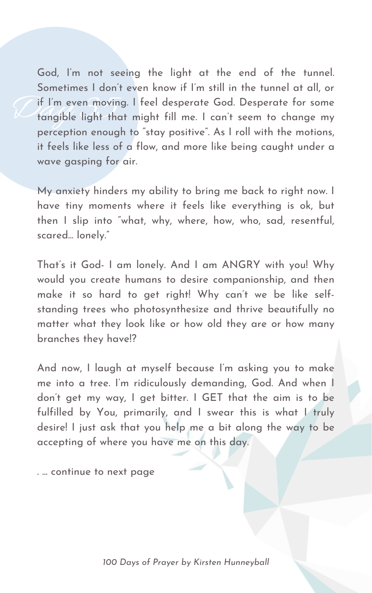If I'm even moving<br>tangible light that God, I' m not seeing the light at the end of the tunnel. Sometimes I don 't even know if I' m still in the tunnel at all, or if I' m even moving. I feel desperate God. Desperate for some tangible light that might fill me. I can 't seem to change my perception enough to "stay positive". As I roll with the motions, it feels like less of a flow, and more like being caught under a wave gasping for air.

My anxiety hinders my ability to bring me back to right now. I have tiny moments where it feels like everything is ok, but then I slip into " what, why, where, how, who, sad, resentful, scared... lonely."

That' s it God- I am lonely. And I am ANGRY with you! Why would you create humans to desire companionship, and then make it so hard to get right! Why can 't we be like selfstanding trees who photosynthesize and thrive beautifully no

matter what they look like or how old they are or how many branches they have!?

And now, I laugh at myself because I' m asking you to make me into a tree. I' m ridiculously demanding, God. And when I don 't get my way, I get bitter. I GET that the aim is to be fulfilled by You, primarily, and I swear this is what I truly desire! I just ask that you help me a bit along the way to be accepting of where you have me on this day.

. ... continue to next page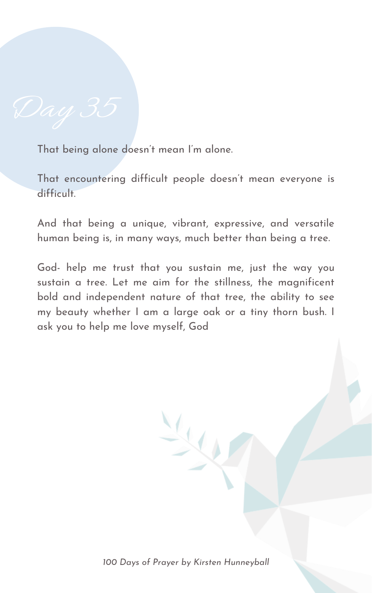

That being alone doesn 't mean I' m alone.

That encountering difficult people doesn 't mean everyone is difficult.

And that being a unique, vibrant, expressive, and versatile human being is, in many ways, much better than being a tree.

God- help me trust that you sustain me, just the way you sustain a tree. Let me aim for the stillness, the magnificent bold and independent nature of that tree, the ability to see my beauty whether I am a large oak or a tiny thorn bush. I

ask you to help me love myself, God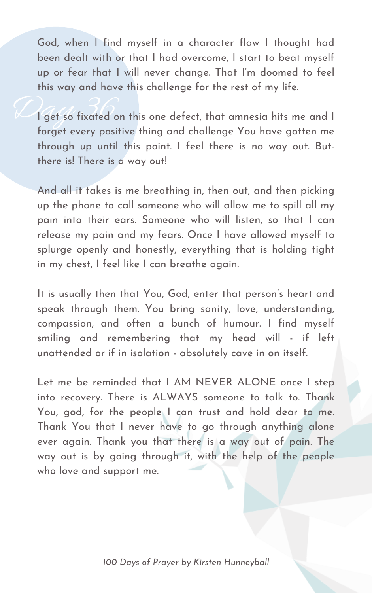God, when I find myself in a character flaw I thought had been dealt with or that I had overcome, I start to beat myself up or fear that I will never change. That I' m doomed to feel this way and have this challenge for the rest of my life.

Viget so fixated or I get so fixated on this one defect, that amnesia hits me and I forget every positive thing and challenge You have gotten me through up until this point. I feel there is no way out. Butthere is! There is a way out!

And all it takes is me breathing in, then out, and then picking up the phone to call someone who will allow me to spill all my pain into their ears. Someone who will listen, so that I can release my pain and my fears. Once I have allowed myself to splurge openly and honestly, everything that is holding tight in my chest, I feel like I can breathe again.

Let me be reminded that I AM NEVER ALONE once I step into recovery. There is ALWAYS someone to talk to. Thank You, god, for the people I can trust and hold dear to me. Thank You that I never have to go through anything alone ever again. Thank you that there is a way out of pain. The way out is by going through it, with the help of the people who love and support me.

It is usually then that You, God, enter that person ' s heart and speak through them. You bring sanity, love, understanding,

compassion, and often a bunch of humour. I find myself smiling and remembering that my head will - if left unattended or if in isolation - absolutely cave in on itself.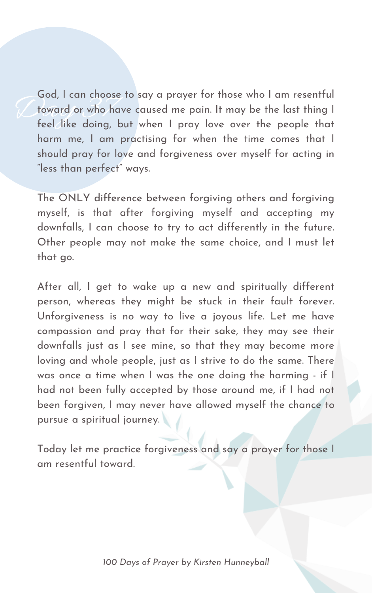God, I can choose<br>foward or who ha<br>feel like doing, k God, I can choose to say a prayer for those who I am resentful toward or who have caused me pain. It may be the last thing I feel like doing, but when I pray love over the people that harm me, I am practising for when the time comes that I should pray for love and forgiveness over myself for acting in "less than perfect" ways.

The ONLY difference between forgiving others and forgiving myself, is that after forgiving myself and accepting my downfalls, I can choose to try to act differently in the future. Other people may not make the same choice, and I must let that go.

After all, I get to wake up a new and spiritually different person, whereas they might be stuck in their fault forever. Unforgiveness is no way to live a joyous life. Let me have compassion and pray that for their sake, they may see their downfalls just as I see mine, so that they may become more loving and whole people, just as I strive to do the same. There was once a time when I was the one doing the harming - if I had not been fully accepted by those around me, if I had not been forgiven, I may never have allowed myself the chance to pursue a spiritual journey.

Today let me practice forgiveness and say a prayer for those I am resentful toward.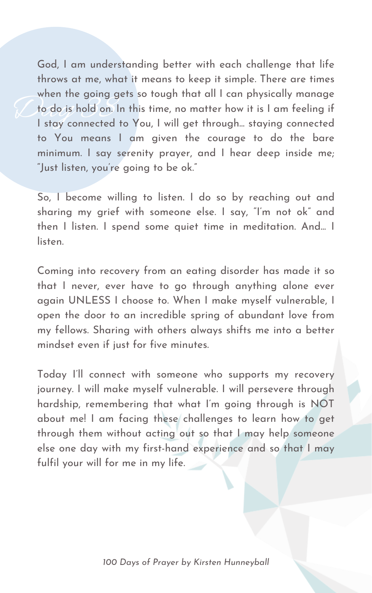when the going general<br>day is hold on. In<br>I stay connected t God, I am understanding better with each challenge that life throws at me, what it means to keep it simple. There are times when the going gets so tough that all I can physically manage to do is hold on. In this time, no matter how it is I am feeling if I stay connected to You, I will get through... staying connected to You means I am given the courage to do the bare minimum. I say serenity prayer, and I hear deep inside me; "Just listen, you ' re going to be ok."

So, I become willing to listen. I do so by reaching out and sharing my grief with someone else. I say, "I' m not ok" and then I listen. I spend some quiet time in meditation. And... I listen.

Coming into recovery from an eating disorder has made it so that I never, ever have to go through anything alone ever again UNLESS I choose to. When I make myself vulnerable, I open the door to an incredible spring of abundant love from my fellows. Sharing with others always shifts me into a better mindset even if just for five minutes.

Today I'll connect with someone who supports my recovery journey. I will make myself vulnerable. I will persevere through hardship, remembering that what I' m going through is NOT about me! I am facing these challenges to learn how to get through them without acting out so that I may help someone else one day with my first-hand experience and so that I may fulfil your will for me in my life.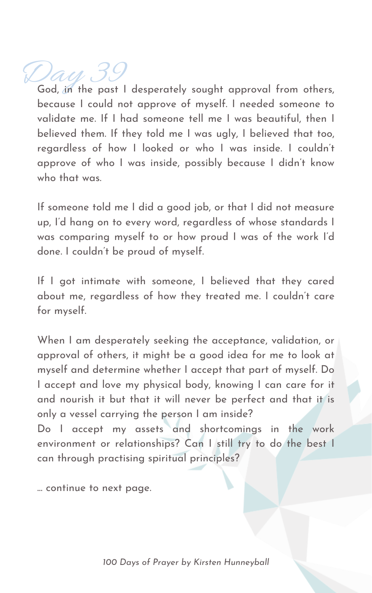## Day 39

God, in the past I desperately sought approval from others, because I could not approve of myself. I needed someone to validate me. If I had someone tell me I was beautiful, then I believed them. If they told me I was ugly, I believed that too, regardless of how I looked or who I was inside. I couldn 't approve of who I was inside, possibly because I didn 't know who that was.

If someone told me I did a good job, or that I did not measure up, I'd hang on to every word, regardless of whose standards I was comparing myself to or how proud I was of the work I'd done. I couldn 't be proud of myself.

If I got intimate with someone, I believed that they cared about me, regardless of how they treated me. I couldn 't care for myself.

When I am desperately seeking the acceptance, validation, or approval of others, it might be a good idea for me to look at myself and determine whether I accept that part of myself. Do I accept and love my physical body, knowing I can care for it and nourish it but that it will never be perfect and that it is only a vessel carrying the person I am inside? Do I accept my assets and shortcomings in the work environment or relationships? Can I still try to do the best I can through practising spiritual principles?

... continue to next page.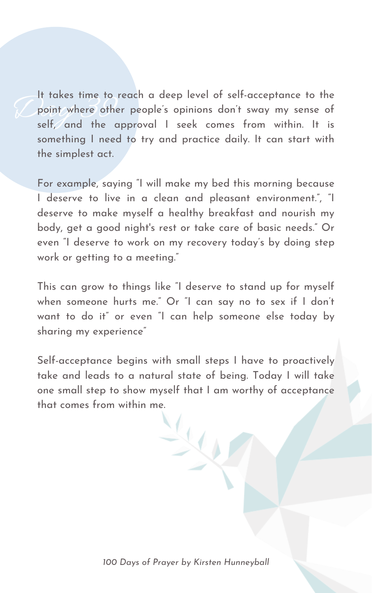It takes time to re<br>point where other<br>self, and the application It takes time to reach a deep level of self-acceptance to the point where other people's opinions don't sway my sense of self, and the approval I seek comes from within. It is something I need to try and practice daily. It can start with the simplest act.

For example, saying "I will make my bed this morning because I deserve to live in a clean and pleasant environment." , "I deserve to make myself a healthy breakfast and nourish my body, get a good night' s rest or take care of basic needs." Or even "I deserve to work on my recovery today's by doing step work or getting to a meeting."

This can grow to things like "I deserve to stand up for myself when someone hurts me." Or "I can say no to sex if I don 't want to do it" or even "I can help someone else today by sharing my experience "

Self-acceptance begins with small steps I have to proactively take and leads to a natural state of being. Today I will take one small step to show myself that I am worthy of acceptance that comes from within me.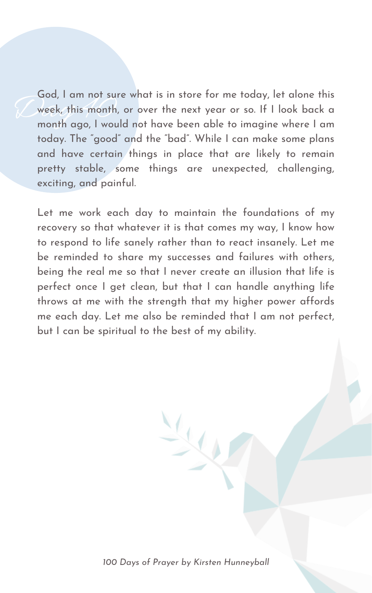God, I am not sure<br>week, this month,<br>month ago, I woul God, I am not sure what is in store for me today, let alone this week, this month, or over the next year or so. If I look back a month ago, I would not have been able to imagine where I am today. The " good" and the "bad". While I can make some plans and have certain things in place that are likely to remain pretty stable, some things are unexpected, challenging, exciting, and painful.

Let me work each day to maintain the foundations of my recovery so that whatever it is that comes my way, I know how to respond to life sanely rather than to react insanely. Let me be reminded to share my successes and failures with others, being the real me so that I never create an illusion that life is perfect once I get clean, but that I can handle anything life throws at me with the strength that my higher power affords me each day. Let me also be reminded that I am not perfect, but I can be spiritual to the best of my ability.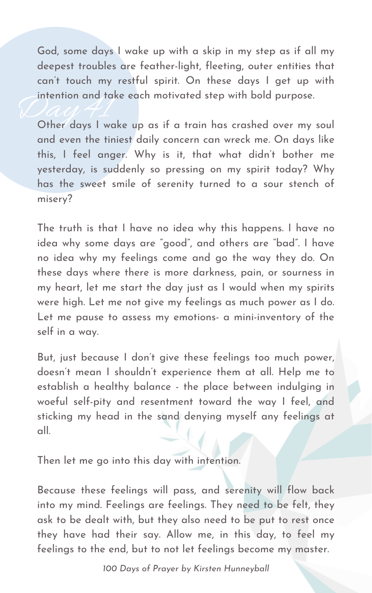God, some days I wake up with a skip in my step as if all my deepest troubles are feather-light, fleeting, outer entities that can 't touch my restful spirit. On these days I get up with intention and take each motivated step with bold purpose.

Intention and take each motivated step with bold purpose.<br>Other days I wake up as if a train has crashed over my soul and even the tiniest daily concern can wreck me. On days like this, I feel anger. Why is it, that what didn 't bother me yesterday, is suddenly so pressing on my spirit today? Why has the sweet smile of serenity turned to a sour stench of misery?

The truth is that I have no idea why this happens. I have no idea why some days are " good" , and others are "bad". I have no idea why my feelings come and go the way they do. On these days where there is more darkness, pain, or sourness in my heart, let me start the day just as I would when my spirits were high. Let me not give my feelings as much power as I do. Let me pause to assess my emotions- a mini-inventory of the self in a way.

But, just because I don 't give these feelings too much power, doesn 't mean I shouldn 't experience them at all. Help me to establish a healthy balance - the place between indulging in woeful self-pity and resentment toward the way I feel, and sticking my head in the sand denying myself any feelings at all.

Then let me go into this day with intention.

Because these feelings will pass, and serenity will flow back into my mind. Feelings are feelings. They need to be felt, they ask to be dealt with, but they also need to be put to rest once they have had their say. Allow me, in this day, to feel my feelings to the end, but to not let feelings become my master.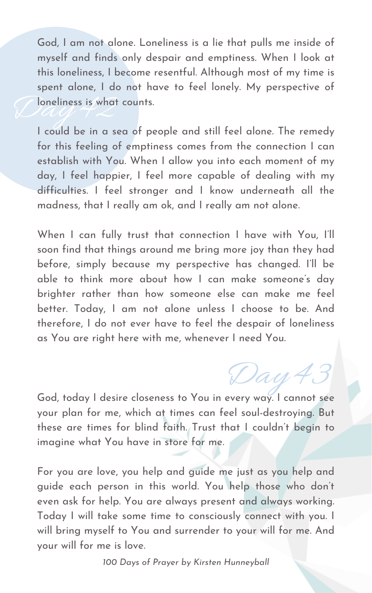God, today I desire closeness to You in every way. I cannot see your plan for me, which at times can feel soul-destroying. But these are times for blind faith. Trust that I couldn 't begin to imagine what You have in store for me.

For you are love, you help and guide me just as you help and guide each person in this world. You help those who don 't even ask for help. You are always present and always working. Today I will take some time to consciously connect with you. I will bring myself to You and surrender to your will for me. And your will for me is love.

Cloneliness is what God, I am not alone. Loneliness is a lie that pulls me inside of myself and finds only despair and emptiness. When I look at this loneliness, I become resentful. Although most of my time is spent alone, I do not have to feel lonely. My perspective of loneliness is what counts.

I could be in a sea of people and still feel alone. The remedy for this feeling of emptiness comes from the connection I can establish with You. When I allow you into each moment of my day, I feel happier, I feel more capable of dealing with my difficulties. I feel stronger and I know underneath all the madness, that I really am ok, and I really am not alone.

When I can fully trust that connection I have with You, I'll soon find that things around me bring more joy than they had before, simply because my perspective has changed. I'll be able to think more about how I can make someone ' s day brighter rather than how someone else can make me feel better. Today, I am not alone unless I choose to be. And

therefore, I do not ever have to feel the despair of loneliness as You are right here with me, whenever I need You.

Day 43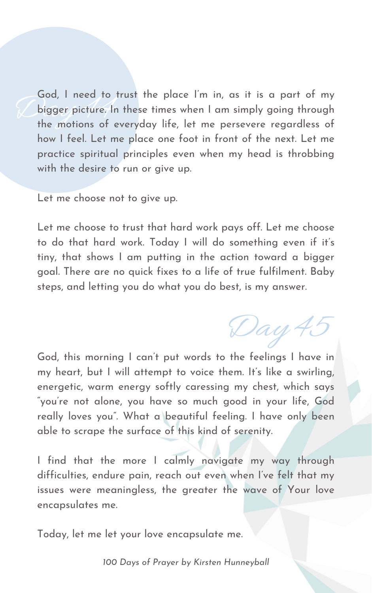God, I need to trust the place I m In, as It Is a part of my<br>bigger picture. In these times when I am simply going through<br>the motions of everyday life, let me persevere regardless of God, I need to trust the place I' m in, as it is a part of my bigger picture. In these times when I am simply going through how I feel. Let me place one foot in front of the next. Let me practice spiritual principles even when my head is throbbing with the desire to run or give up.

Let me choose not to give up.

Let me choose to trust that hard work pays off. Let me choose to do that hard work. Today I will do something even if it' s tiny, that shows I am putting in the action toward a bigger goal. There are no quick fixes to a life of true fulfilment. Baby steps, and letting you do what you do best, is my answer.

God, this morning I can 't put words to the feelings I have in my heart, but I will attempt to voice them. It's like a swirling, energetic, warm energy softly caressing my chest, which says " you ' re not alone, you have so much good in your life, God really loves you". What a beautiful feeling. I have only been able to scrape the surface of this kind of serenity.

I find that the more I calmly navigate my way through difficulties, endure pain, reach out even when I've felt that my issues were meaningless, the greater the wave of Your love encapsulates me.

Today, let me let your love encapsulate me.

Day 45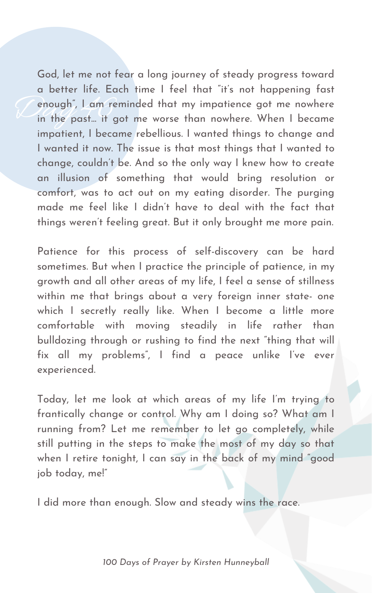enough", Lam rer God, let me not fear a long journey of steady progress toward a better life. Each time I feel that "it' s not happening fast enough" , I am reminded that my impatience got me nowhere in the past... it got me worse than nowhere. When I became impatient, I became rebellious. I wanted things to change and I wanted it now. The issue is that most things that I wanted to change, couldn 't be. And so the only way I knew how to create an illusion of something that would bring resolution or comfort, was to act out on my eating disorder. The purging made me feel like I didn 't have to deal with the fact that things weren 't feeling great. But it only brought me more pain.

Patience for this process of self-discovery can be hard sometimes. But when I practice the principle of patience, in my growth and all other areas of my life, I feel a sense of stillness within me that brings about a very foreign inner state- one which I secretly really like. When I become a little more comfortable with moving steadily in life rather than bulldozing through or rushing to find the next "thing that will fix all my problems " , I find a peace unlike I' ve ever experienced.

Today, let me look at which areas of my life I' m trying to frantically change or control. Why am I doing so? What am I running from? Let me remember to let go completely, while still putting in the steps to make the most of my day so that when I retire tonight, I can say in the back of my mind " good job today, me!"

I did more than enough. Slow and steady wins the race.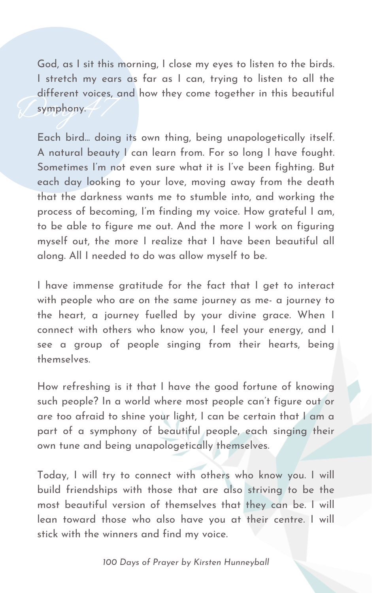Gymphony. God, as I sit this morning, I close my eyes to listen to the birds. I stretch my ears as far as I can, trying to listen to all the different voices, and how they come together in this beautiful symphony.

Each bird... doing its own thing, being unapologetically itself. A natural beauty I can learn from. For so long I have fought. Sometimes I' m not even sure what it is I' ve been fighting. But each day looking to your love, moving away from the death that the darkness wants me to stumble into, and working the process of becoming, I' m finding my voice. How grateful I am, to be able to figure me out. And the more I work on figuring myself out, the more I realize that I have been beautiful all along. All I needed to do was allow myself to be.

I have immense gratitude for the fact that I get to interact with people who are on the same journey as me- a journey to the heart, a journey fuelled by your divine grace. When I connect with others who know you, I feel your energy, and I see a group of people singing from their hearts, being themselves.

How refreshing is it that I have the good fortune of knowing such people? In a world where most people can 't figure out or are too afraid to shine your light, I can be certain that I am a part of a symphony of beautiful people, each singing their own tune and being unapologetically themselves.

Today, I will try to connect with others who know you. I will build friendships with those that are also striving to be the most beautiful version of themselves that they can be. I will lean toward those who also have you at their centre. I will stick with the winners and find my voice.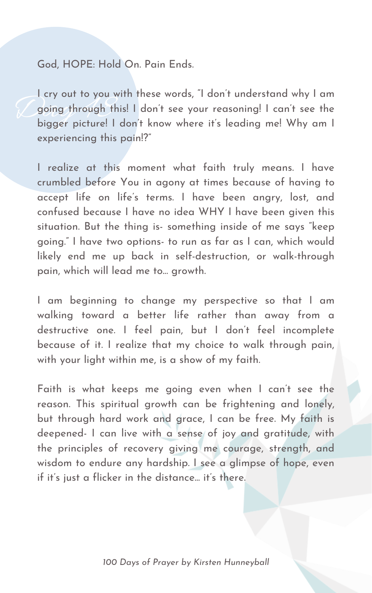## God, HOPE: Hold On. Pain Ends.

Going through this! I don't see your reasoning! I can't see the<br>bigger picture! I don't know where it's leading me! Why am I I cry out to you with these words, "I don 't understand why I am going through this! I don 't see your reasoning! I can 't see the experiencing this pain!?"

I realize at this moment what faith truly means. I have crumbled before You in agony at times because of having to accept life on life ' s terms. I have been angry, lost, and confused because I have no idea WHY I have been given this situation. But the thing is- something inside of me says "keep going." I have two options- to run as far as I can, which would likely end me up back in self-destruction, or walk-through pain, which will lead me to... growth.

Faith is what keeps me going even when I can 't see the reason. This spiritual growth can be frightening and lonely, but through hard work and grace, I can be free. My faith is deepened- I can live with a sense of joy and gratitude, with the principles of recovery giving me courage, strength, and wisdom to endure any hardship. I see a glimpse of hope, even if it's just a flicker in the distance... it's there.

I am beginning to change my perspective so that I am walking toward a better life rather than away from a destructive one. I feel pain, but I don 't feel incomplete because of it. I realize that my choice to walk through pain, with your light within me, is a show of my faith.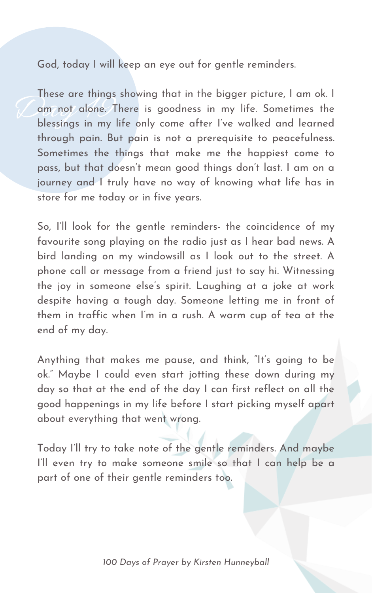God, today I will keep an eye out for gentle reminders.

These are inings These are things showing that in the bigger picture, I am ok. I am not alone. There is goodness in my life. Sometimes the blessings in my life only come after I' ve walked and learned through pain. But pain is not a prerequisite to peacefulness. Sometimes the things that make me the happiest come to pass, but that doesn 't mean good things don 't last. I am on a journey and I truly have no way of knowing what life has in store for me today or in five years.

Anything that makes me pause, and think, "It's going to be ok." Maybe I could even start jotting these down during my day so that at the end of the day I can first reflect on all the good happenings in my life before I start picking myself apart about everything that went wrong.

So, I'll look for the gentle reminders- the coincidence of my favourite song playing on the radio just as I hear bad news. A bird landing on my windowsill as I look out to the street. A phone call or message from a friend just to say hi. Witnessing the joy in someone else's spirit. Laughing at a joke at work despite having a tough day. Someone letting me in front of them in traffic when I'm in a rush. A warm cup of tea at the end of my day.

Today I'll try to take note of the gentle reminders. And maybe I'll even try to make someone smile so that I can help be a part of one of their gentle reminders too.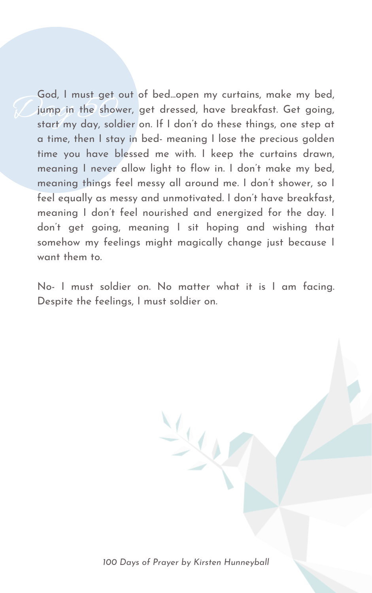Goa, I must get out of bea...open my currains, make my bea,<br>jump in the shower, get dressed, have breakfast. Get going,<br>start my day, soldier on. If I don't do these things, one step at God, I must get out of bed...open my curtains, make my bed, jump in the shower, get dressed, have breakfast. Get going, a time, then I stay in bed- meaning I lose the precious golden time you have blessed me with. I keep the curtains drawn, meaning I never allow light to flow in. I don 't make my bed, meaning things feel messy all around me. I don 't shower, so I feel equally as messy and unmotivated. I don 't have breakfast, meaning I don 't feel nourished and energized for the day. I don 't get going, meaning I sit hoping and wishing that somehow my feelings might magically change just because I want them to.

No- I must soldier on. No matter what it is I am facing. Despite the feelings, I must soldier on.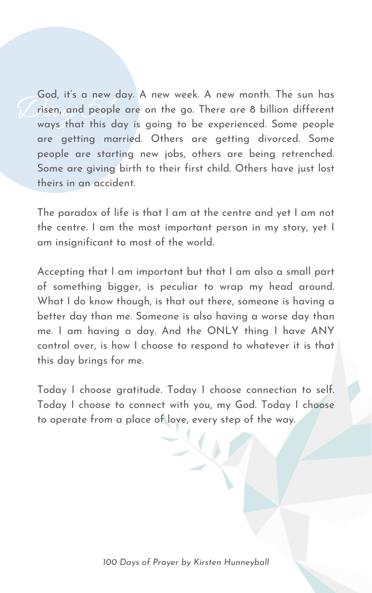God, it's a new a<br>risen, and people<br>ways that this d God, it's a new day. A new week. A new month. The sun has risen, and people are on the go. There are 8 billion different ways that this day is going to be experienced. Some people are getting married. Others are getting divorced. Some people are starting new jobs, others are being retrenched. Some are giving birth to their first child. Others have just lost theirs in an accident.

The paradox of life is that I am at the centre and yet I am not the centre. I am the most important person in my story, yet I am insignificant to most of the world.

Accepting that I am important but that I am also a small part of something bigger, is peculiar to wrap my head around. What I do know though, is that out there, someone is having a better day than me. Someone is also having a worse day than me. I am having a day. And the ONLY thing I have ANY control over, is how I choose to respond to whatever it is that this day brings for me.

Today I choose gratitude. Today I choose connection to self. Today I choose to connect with you, my God. Today I choose to operate from a place of love, every step of the way.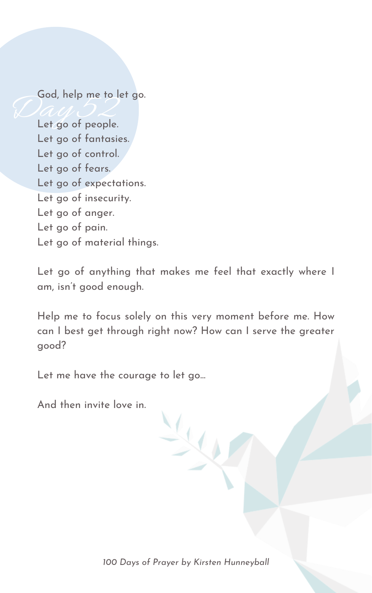God, help me to let go.

God, neip me to le<br>Let go of people. Let go of fantasies. Let go of control. Let go of fears. Let go of expectations. Let go of insecurity. Let go of anger. Let go of pain. Let go of material things.

> Let go of anything that makes me feel that exactly where I am, isn 't good enough.

> Help me to focus solely on this very moment before me. How can I best get through right now? How can I serve the greater good?

Let me have the courage to let go...

And then invite love in.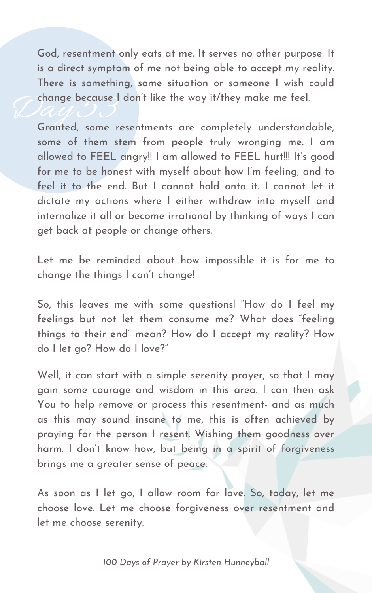change because I don't like the way it/they make me feel.<br>Granted some resentments are completely understand God, resentment only eats at me. It serves no other purpose. It is a direct symptom of me not being able to accept my reality. There is something, some situation or someone I wish could

Let me be reminded about how impossible it is for me to change the things I can 't change!

Granted, some resentments are completely understandable, some of them stem from people truly wronging me. I am allowed to FEEL angry!! I am allowed to FEEL hurt!!! It' s good for me to be honest with myself about how I' m feeling, and to feel it to the end. But I cannot hold onto it. I cannot let it dictate my actions where I either withdraw into myself and internalize it all or become irrational by thinking of ways I can get back at people or change others.

Well, it can start with a simple serenity prayer, so that I may gain some courage and wisdom in this area. I can then ask You to help remove or process this resentment- and as much as this may sound insane to me, this is often achieved by praying for the person I resent. Wishing them goodness over harm. I don 't know how, but being in a spirit of forgiveness brings me a greater sense of peace.

So, this leaves me with some questions! "How do I feel my feelings but not let them consume me? What does "feeling things to their end" mean? How do I accept my reality? How do I let go? How do I love?"

As soon as I let go, I allow room for love. So, today, let me choose love. Let me choose forgiveness over resentment and let me choose serenity.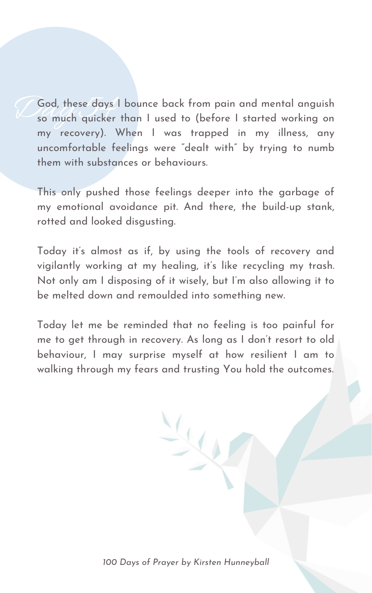God, these days God, these days I bounce back from pain and mental anguish so much quicker than I used to (before I started working on my recovery). When I was trapped in my illness, any uncomfortable feelings were "dealt with" by trying to numb them with substances or behaviours.

This only pushed those feelings deeper into the garbage of my emotional avoidance pit. And there, the build-up stank, rotted and looked disgusting.

Today it' s almost as if, by using the tools of recovery and vigilantly working at my healing, it' s like recycling my trash. Not only am I disposing of it wisely, but I' m also allowing it to be melted down and remoulded into something new.

Today let me be reminded that no feeling is too painful for me to get through in recovery. As long as I don 't resort to old behaviour, I may surprise myself at how resilient I am to walking through my fears and trusting You hold the outcomes.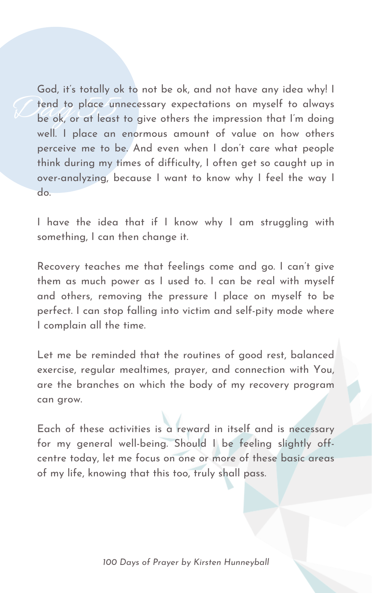Tend to place unr God, it' s totally ok to not be ok, and not have any idea why! I tend to place unnecessary expectations on myself to always be ok, or at least to give others the impression that I' m doing well. I place an enormous amount of value on how others perceive me to be. And even when I don 't care what people think during my times of difficulty, I often get so caught up in over-analyzing, because I want to know why I feel the way I do.

I have the idea that if I know why I am struggling with something, I can then change it.

Recovery teaches me that feelings come and go. I can 't give them as much power as I used to. I can be real with myself and others, removing the pressure I place on myself to be perfect. I can stop falling into victim and self-pity mode where I complain all the time.

Let me be reminded that the routines of good rest, balanced exercise, regular mealtimes, prayer, and connection with You, are the branches on which the body of my recovery program can grow.

Each of these activities is a reward in itself and is necessary for my general well-being. Should I be feeling slightly offcentre today, let me focus on one or more of these basic areas of my life, knowing that this too, truly shall pass.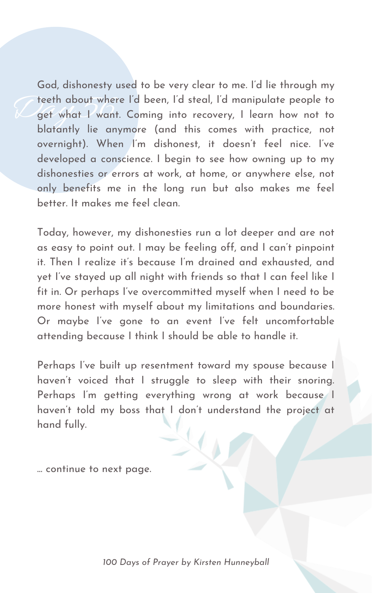Feeth about where<br>get what I want. God, dishonesty used to be very clear to me. I'd lie through my teeth about where I'd been, I'd steal, I'd manipulate people to get what I want. Coming into recovery, I learn how not to blatantly lie anymore (and this comes with practice, not overnight). When I' m dishonest, it doesn 't feel nice. I' ve developed a conscience. I begin to see how owning up to my dishonesties or errors at work, at home, or anywhere else, not only benefits me in the long run but also makes me feel better. It makes me feel clean.

Perhaps I've built up resentment toward my spouse because I haven 't voiced that I struggle to sleep with their snoring. Perhaps I' m getting everything wrong at work because I haven 't told my boss that I don 't understand the project at hand fully.

Today, however, my dishonesties run a lot deeper and are not as easy to point out. I may be feeling off, and I can 't pinpoint it. Then I realize it' s because I' m drained and exhausted, and yet I' ve stayed up all night with friends so that I can feel like I fit in. Or perhaps I' ve overcommitted myself when I need to be more honest with myself about my limitations and boundaries.

Or maybe I' ve gone to an event I' ve felt uncomfortable attending because I think I should be able to handle it.

... continue to next page.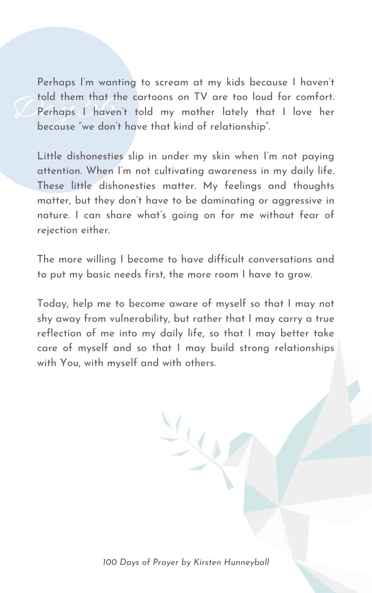Fold them that the<br>Perhaps L haven<br>because "we don't Perhaps I' m wanting to scream at my kids because I haven 't told them that the cartoons on TV are too loud for comfort. Perhaps I haven 't told my mother lately that I love her because " we don 't have that kind of relationship ".

Little dishonesties slip in under my skin when I' m not paying attention. When I' m not cultivating awareness in my daily life. These little dishonesties matter. My feelings and thoughts matter, but they don 't have to be dominating or aggressive in nature. I can share what' s going on for me without fear of rejection either.

The more willing I become to have difficult conversations and to put my basic needs first, the more room I have to grow.

Today, help me to become aware of myself so that I may not shy away from vulnerability, but rather that I may carry a true reflection of me into my daily life, so that I may better take care of myself and so that I may build strong relationships with You, with myself and with others.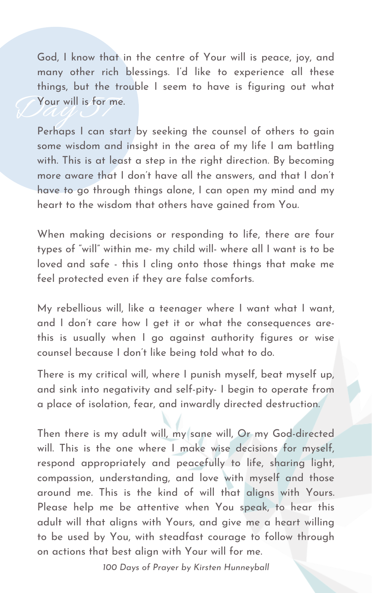There is my critical will, where I punish myself, beat myself up, and sink into negativity and self-pity- I begin to operate from a place of isolation, fear, and inwardly directed destruction.

Then there is my adult will, my sane will, Or my God-directed will. This is the one where I make wise decisions for myself, respond appropriately and peacefully to life, sharing light, compassion, understanding, and love with myself and those around me. This is the kind of will that aligns with Yours. Please help me be attentive when You speak, to hear this adult will that aligns with Yours, and give me a heart willing to be used by You, with steadfast courage to follow through on actions that best align with Your will for me.

Vour will is for me God, I know that in the centre of Your will is peace, joy, and many other rich blessings. I'd like to experience all these things, but the trouble I seem to have is figuring out what Your will is for me.

Perhaps I can start by seeking the counsel of others to gain some wisdom and insight in the area of my life I am battling with. This is at least a step in the right direction. By becoming more aware that I don 't have all the answers, and that I don 't have to go through things alone, I can open my mind and my heart to the wisdom that others have gained from You.

When making decisions or responding to life, there are four types of " will" within me- my child will- where all I want is to be loved and safe - this I cling onto those things that make me feel protected even if they are false comforts.

My rebellious will, like a teenager where I want what I want,

and I don 't care how I get it or what the consequences arethis is usually when I go against authority figures or wise counsel because I don 't like being told what to do.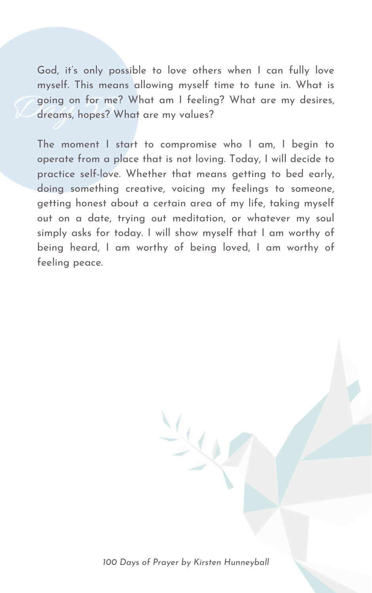going on for me?<br>dreams, hopes? W God, it' s only possible to love others when I can fully love myself. This means allowing myself time to tune in. What is going on for me? What am I feeling? What are my desires, dreams, hopes? What are my values?

The moment I start to compromise who I am, I begin to operate from a place that is not loving. Today, I will decide to practice self-love. Whether that means getting to bed early, doing something creative, voicing my feelings to someone, getting honest about a certain area of my life, taking myself out on a date, trying out meditation, or whatever my soul simply asks for today. I will show myself that I am worthy of being heard, I am worthy of being loved, I am worthy of feeling peace.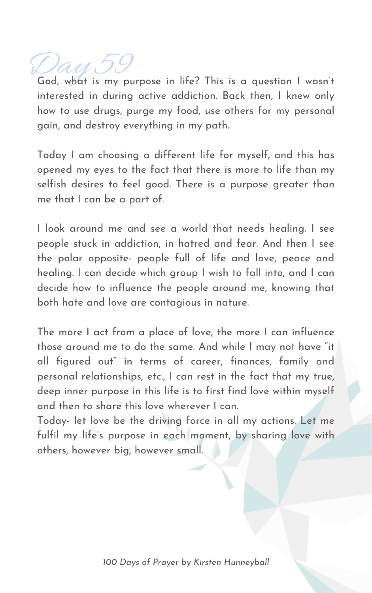Day 59<br>God, what is my purpose in life? This is a question I wasn't interested in during active addiction. Back then, I knew only how to use drugs, purge my food, use others for my personal gain, and destroy everything in my path.

Today I am choosing a different life for myself, and this has opened my eyes to the fact that there is more to life than my selfish desires to feel good. There is a purpose greater than me that I can be a part of.

The more I act from a place of love, the more I can influence those around me to do the same. And while I may not have "it all figured out" in terms of career, finances, family and personal relationships, etc., I can rest in the fact that my true, deep inner purpose in this life is to first find love within myself and then to share this love wherever I can.

I look around me and see a world that needs healing. I see people stuck in addiction, in hatred and fear. And then I see the polar opposite- people full of life and love, peace and healing. I can decide which group I wish to fall into, and I can decide how to influence the people around me, knowing that both hate and love are contagious in nature.

Today- let love be the driving force in all my actions. Let me fulfil my life ' s purpose in each moment, by sharing love with others, however big, however small.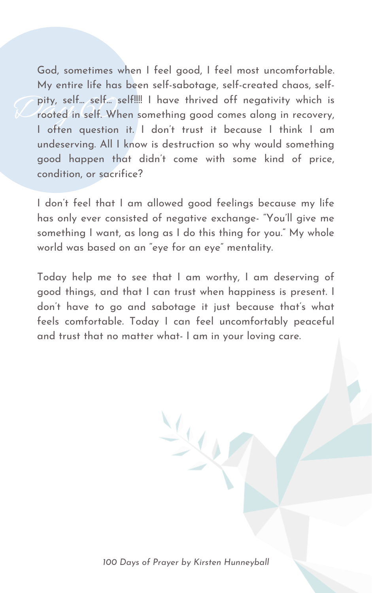pity, self... self... so<br>rooted in self. Who God, sometimes when I feel good, I feel most uncomfortable. My entire life has been self-sabotage, self-created chaos, selfpity, self... self... self!!!! I have thrived off negativity which is rooted in self. When something good comes along in recovery, I often question it. I don 't trust it because I think I am undeserving. All I know is destruction so why would something good happen that didn 't come with some kind of price, condition, or sacrifice?

I don 't feel that I am allowed good feelings because my life has only ever consisted of negative exchange- "You 'll give me something I want, as long as I do this thing for you." My whole world was based on an " eye for an eye " mentality.

Today help me to see that I am worthy, I am deserving of good things, and that I can trust when happiness is present. I don 't have to go and sabotage it just because that' s what

feels comfortable. Today I can feel uncomfortably peaceful and trust that no matter what- I am in your loving care.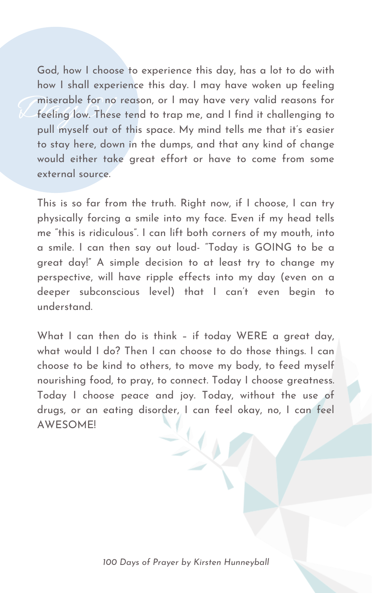miserable for no<br>
Feeling low. These God, how I choose to experience this day, has a lot to do with how I shall experience this day. I may have woken up feeling miserable for no reason, or I may have very valid reasons for feeling low. These tend to trap me, and I find it challenging to pull myself out of this space. My mind tells me that it's easier to stay here, down in the dumps, and that any kind of change would either take great effort or have to come from some external source.

This is so far from the truth. Right now, if I choose, I can try physically forcing a smile into my face. Even if my head tells me "this is ridiculous ". I can lift both corners of my mouth, into a smile. I can then say out loud- "Today is GOING to be a great day!" A simple decision to at least try to change my perspective, will have ripple effects into my day (even on a deeper subconscious level) that I can 't even begin to understand.

What I can then do is think – if today WERE a great day, what would I do? Then I can choose to do those things. I can choose to be kind to others, to move my body, to feed myself nourishing food, to pray, to connect. Today I choose greatness. Today I choose peace and joy. Today, without the use of drugs, or an eating disorder, I can feel okay, no, I can feel AWESOME!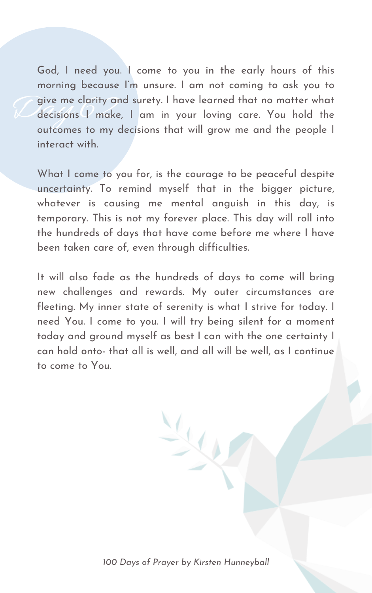Give me clarity and surety. I have learned that no matter what<br>decisions I make, I am in your loving care. You hold the God, I need you. I come to you in the early hours of this morning because I' m unsure. I am not coming to ask you to decisions I make, I am in your loving care. You hold the outcomes to my decisions that will grow me and the people I interact with.

What I come to you for, is the courage to be peaceful despite uncertainty. To remind myself that in the bigger picture, whatever is causing me mental anguish in this day, is temporary. This is not my forever place. This day will roll into the hundreds of days that have come before me where I have been taken care of, even through difficulties.

It will also fade as the hundreds of days to come will bring new challenges and rewards. My outer circumstances are fleeting. My inner state of serenity is what I strive for today. I

need You. I come to you. I will try being silent for a moment today and ground myself as best I can with the one certainty I can hold onto- that all is well, and all will be well, as I continue to come to You.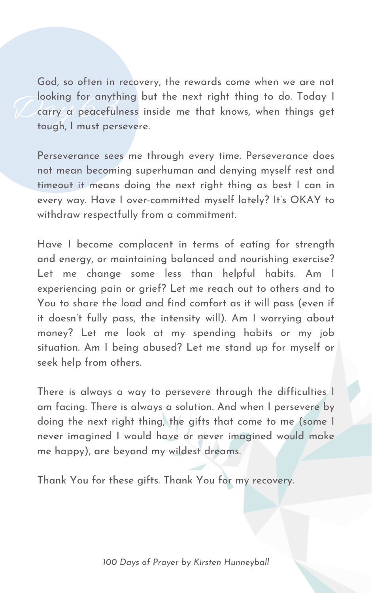Jooking tor anythi<br>Carry a peacefuln<br>tough. I must perse God, so often in recovery, the rewards come when we are not looking for anything but the next right thing to do. Today I carry a peacefulness inside me that knows, when things get tough, I must persevere.

Perseverance sees me through every time. Perseverance does not mean becoming superhuman and denying myself rest and timeout it means doing the next right thing as best I can in every way. Have I over-committed myself lately? It' s OKAY to withdraw respectfully from a commitment.

Have I become complacent in terms of eating for strength and energy, or maintaining balanced and nourishing exercise? Let me change some less than helpful habits. Am I experiencing pain or grief? Let me reach out to others and to You to share the load and find comfort as it will pass (even if it doesn 't fully pass, the intensity will). Am I worrying about money? Let me look at my spending habits or my job situation. Am I being abused? Let me stand up for myself or seek help from others.

There is always a way to persevere through the difficulties I am facing. There is always a solution. And when I persevere by doing the next right thing, the gifts that come to me (some I never imagined I would have or never imagined would make me happy), are beyond my wildest dreams.

Thank You for these gifts. Thank You for my recovery.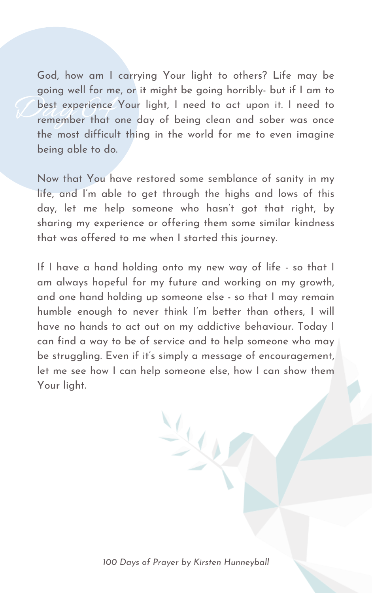best experience God, how am I carrying Your light to others? Life may be going well for me, or it might be going horribly- but if I am to best experience Your light, I need to act upon it. I need to remember that one day of being clean and sober was once the most difficult thing in the world for me to even imagine being able to do.

Now that You have restored some semblance of sanity in my life, and I' m able to get through the highs and lows of this day, let me help someone who hasn 't got that right, by sharing my experience or offering them some similar kindness that was offered to me when I started this journey.

If I have a hand holding onto my new way of life - so that I am always hopeful for my future and working on my growth, and one hand holding up someone else - so that I may remain humble enough to never think I' m better than others, I will have no hands to act out on my addictive behaviour. Today I can find a way to be of service and to help someone who may be struggling. Even if it' s simply a message of encouragement, let me see how I can help someone else, how I can show them Your light.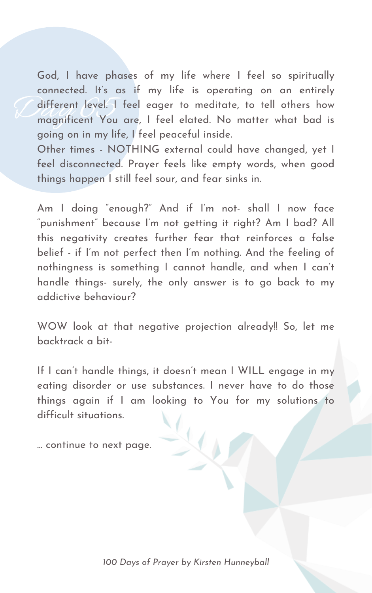different level. God, I have phases of my life where I feel so spiritually connected. It' s as if my life is operating on an entirely different level. I feel eager to meditate, to tell others how magnificent You are, I feel elated. No matter what bad is going on in my life, I feel peaceful inside. Other times - NOTHING external could have changed, yet I feel disconnected. Prayer feels like empty words, when good

things happen I still feel sour, and fear sinks in.

Am I doing " enough?" And if I' m not- shall I now face " punishment" because I' m not getting it right? Am I bad? All this negativity creates further fear that reinforces a false belief - if I'm not perfect then I'm nothing. And the feeling of nothingness is something I cannot handle, and when I can 't handle things- surely, the only answer is to go back to my addictive behaviour?

WOW look at that negative projection already!! So, let me backtrack a bit-

If I can 't handle things, it doesn 't mean I WILL engage in my eating disorder or use substances. I never have to do those things again if I am looking to You for my solutions to difficult situations.

... continue to next page.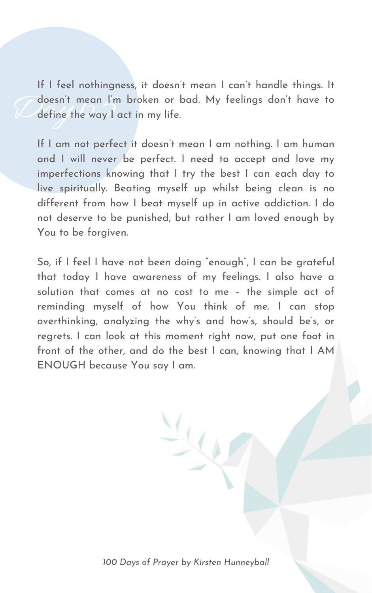Caloesn't mean I'm broken or bad. My feelings don't have to<br>Calefine the way I act in my life. If I feel nothingness, it doesn 't mean I can 't handle things. It define the way I act in my life.

If I am not perfect it doesn 't mean I am nothing. I am human and I will never be perfect. I need to accept and love my imperfections knowing that I try the best I can each day to live spiritually. Beating myself up whilst being clean is no different from how I beat myself up in active addiction. I do not deserve to be punished, but rather I am loved enough by You to be forgiven.

So, if I feel I have not been doing " enough" , I can be grateful that today I have awareness of my feelings. I also have a solution that comes at no cost to me – the simple act of reminding myself of how You think of me. I can stop

overthinking, analyzing the why ' s and how ' s, should be ' s, or regrets. I can look at this moment right now, put one foot in front of the other, and do the best I can, knowing that I AM ENOUGH because You say I am.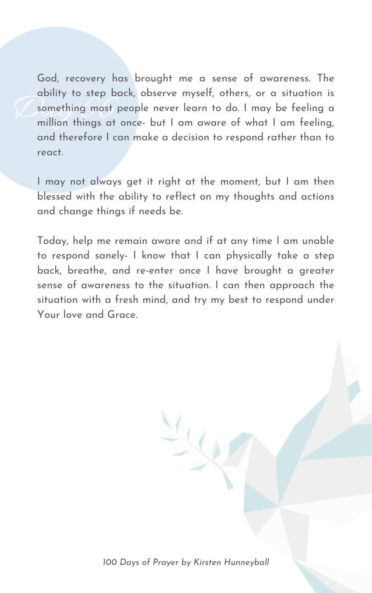Something most p<br>million things at God, recovery has brought me a sense of awareness. The ability to step back, observe myself, others, or a situation is something most people never learn to do. I may be feeling a million things at once- but I am aware of what I am feeling, and therefore I can make a decision to respond rather than to react.

I may not always get it right at the moment, but I am then blessed with the ability to reflect on my thoughts and actions and change things if needs be.

Today, help me remain aware and if at any time I am unable to respond sanely- I know that I can physically take a step back, breathe, and re-enter once I have brought a greater sense of awareness to the situation. I can then approach the situation with a fresh mind, and try my best to respond under Your love and Grace.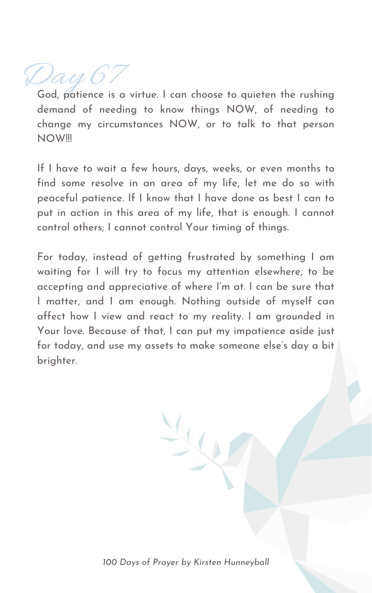Day 67

God, patience is a virtue. I can choose to quieten the rushing demand of needing to know things NOW, of needing to change my circumstances NOW, or to talk to that person NOW!!!

If I have to wait a few hours, days, weeks, or even months to find some resolve in an area of my life, let me do so with peaceful patience. If I know that I have done as best I can to put in action in this area of my life, that is enough. I cannot control others; I cannot control Your timing of things.

For today, instead of getting frustrated by something I am waiting for I will try to focus my attention elsewhere, to be accepting and appreciative of where I' m at. I can be sure that I matter, and I am enough. Nothing outside of myself can affect how I view and react to my reality. I am grounded in Your love. Because of that, I can put my impatience aside just for today, and use my assets to make someone else ' s day a bit brighter.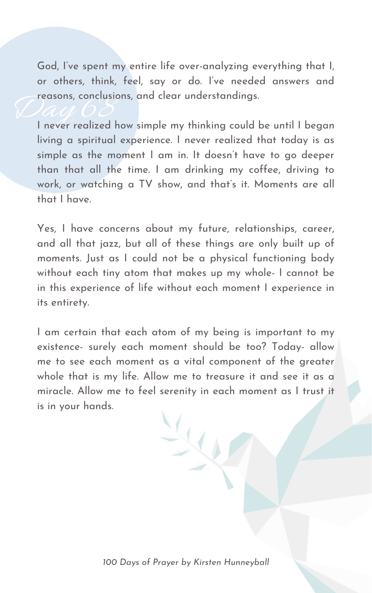God, I' ve spent my entire life over-analyzing everything that I, or others, think, feel, say or do. I' ve needed answers and reasons, conclusions, and clear understandings.

reasons, conclusions, and clear understandings.<br>I never realized how simple my thinking could be until I began living a spiritual experience. I never realized that today is as simple as the moment I am in. It doesn 't have to go deeper than that all the time. I am drinking my coffee, driving to work, or watching a TV show, and that' s it. Moments are all that I have.

Yes, I have concerns about my future, relationships, career, and all that jazz, but all of these things are only built up of moments. Just as I could not be a physical functioning body without each tiny atom that makes up my whole- I cannot be in this experience of life without each moment I experience in its entirety.

I am certain that each atom of my being is important to my existence- surely each moment should be too? Today- allow me to see each moment as a vital component of the greater whole that is my life. Allow me to treasure it and see it as a miracle. Allow me to feel serenity in each moment as I trust it is in your hands.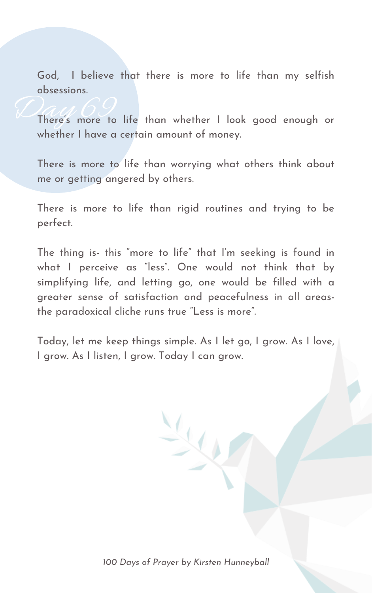God, I believe that there is more to life than my selfish obsessions.

*C*here's more to There ' s more to life than whether I look good enough or whether I have a certain amount of money.

There is more to life than worrying what others think about me or getting angered by others.

There is more to life than rigid routines and trying to be perfect.

The thing is- this " more to life " that I' m seeking is found in what I perceive as "less ". One would not think that by simplifying life, and letting go, one would be filled with a greater sense of satisfaction and peacefulness in all areasthe paradoxical cliche runs true "Less is more ".

Today, let me keep things simple. As I let go, I grow. As I love, I grow. As I listen, I grow. Today I can grow.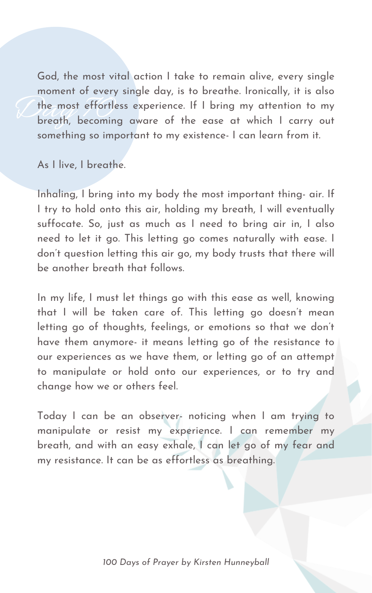The most effortless experience. If I bring my attention to my<br>breath, becoming aware of the ease at which I carry out God, the most vital action I take to remain alive, every single moment of every single day, is to breathe. Ironically, it is also the most effortless experience. If I bring my attention to my something so important to my existence- I can learn from it.

As I live, I breathe.

Inhaling, I bring into my body the most important thing- air. If I try to hold onto this air, holding my breath, I will eventually suffocate. So, just as much as I need to bring air in, I also need to let it go. This letting go comes naturally with ease. I don 't question letting this air go, my body trusts that there will be another breath that follows.

In my life, I must let things go with this ease as well, knowing that I will be taken care of. This letting go doesn 't mean

letting go of thoughts, feelings, or emotions so that we don 't have them anymore- it means letting go of the resistance to our experiences as we have them, or letting go of an attempt to manipulate or hold onto our experiences, or to try and change how we or others feel.

Today I can be an observer- noticing when I am trying to manipulate or resist my experience. I can remember my breath, and with an easy exhale, I can let go of my fear and my resistance. It can be as effortless as breathing.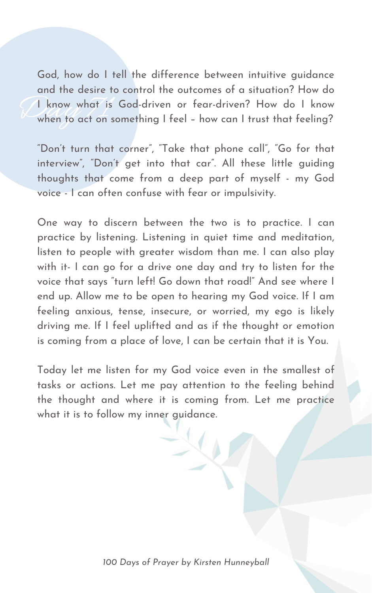The Kids what is<br>When to act on s God, how do I tell the difference between intuitive guidance and the desire to control the outcomes of a situation? How do I know what is God-driven or fear-driven? How do I know when to act on something I feel – how can I trust that feeling?

"Don't turn that corner", "Take that phone call", "Go for that interview " , "Don 't get into that car ". All these little guiding thoughts that come from a deep part of myself - my God voice - I can often confuse with fear or impulsivity.

One way to discern between the two is to practice. I can practice by listening. Listening in quiet time and meditation, listen to people with greater wisdom than me. I can also play with it- I can go for a drive one day and try to listen for the voice that says "turn left! Go down that road!" And see where I end up. Allow me to be open to hearing my God voice. If I am feeling anxious, tense, insecure, or worried, my ego is likely driving me. If I feel uplifted and as if the thought or emotion is coming from a place of love, I can be certain that it is You.

Today let me listen for my God voice even in the smallest of tasks or actions. Let me pay attention to the feeling behind the thought and where it is coming from. Let me practice what it is to follow my inner guidance.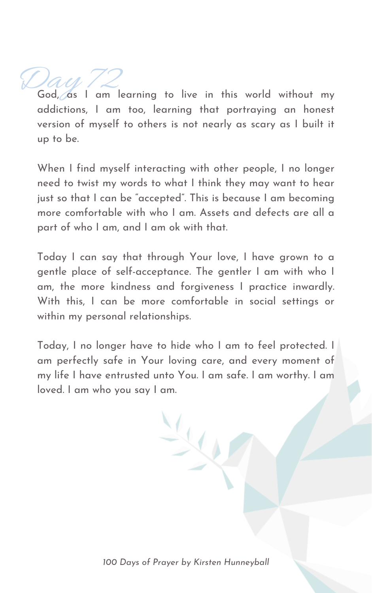Day 72<br>God, as I am learning to live in this world without my addictions, I am too, learning that portraying an honest version of myself to others is not nearly as scary as I built it up to be.

When I find myself interacting with other people, I no longer need to twist my words to what I think they may want to hear just so that I can be " accepted". This is because I am becoming more comfortable with who I am. Assets and defects are all a part of who I am, and I am ok with that.

Today I can say that through Your love, I have grown to a gentle place of self-acceptance. The gentler I am with who I am, the more kindness and forgiveness I practice inwardly. With this, I can be more comfortable in social settings or

within my personal relationships.

Today, I no longer have to hide who I am to feel protected. I am perfectly safe in Your loving care, and every moment of my life I have entrusted unto You. I am safe. I am worthy. I am loved. I am who you say I am.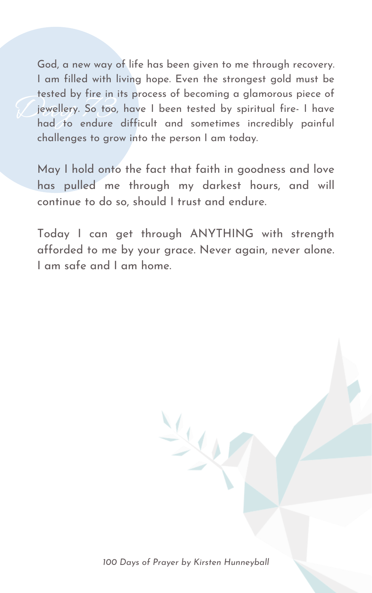Diesied by tire in its process of becoming a giamorous piece of<br>integral fire in its process of becoming a giamorous piece of<br>had to endure difficult and sometimes incredibly painful God, a new way of life has been given to me through recovery. I am filled with living hope. Even the strongest gold must be tested by fire in its process of becoming a glamorous piece of jewellery. So too, have I been tested by spiritual fire- I have challenges to grow into the person I am today.

May I hold onto the fact that faith in goodness and love has pulled me through my darkest hours, and will continue to do so, should I trust and endure.

Today I can get through ANYTHING with strength afforded to me by your grace. Never again, never alone. I am safe and I am home.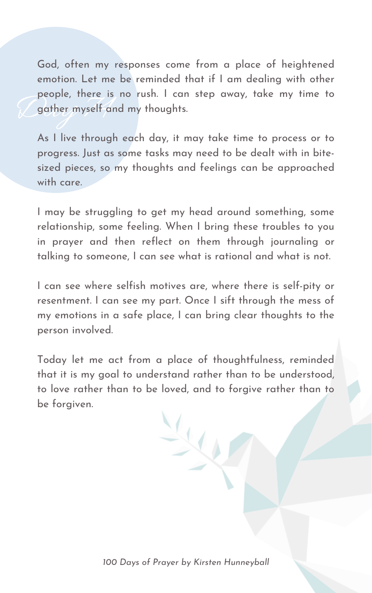people, mere is<br>gather myself and God, often my responses come from a place of heightened emotion. Let me be reminded that if I am dealing with other people, there is no rush. I can step away, take my time to gather myself and my thoughts.

As I live through each day, it may take time to process or to progress. Just as some tasks may need to be dealt with in bitesized pieces, so my thoughts and feelings can be approached with care.

I may be struggling to get my head around something, some relationship, some feeling. When I bring these troubles to you in prayer and then reflect on them through journaling or talking to someone, I can see what is rational and what is not.

I can see where selfish motives are, where there is self-pity or resentment. I can see my part. Once I sift through the mess of my emotions in a safe place, I can bring clear thoughts to the person involved.

Today let me act from a place of thoughtfulness, reminded that it is my goal to understand rather than to be understood, to love rather than to be loved, and to forgive rather than to be forgiven.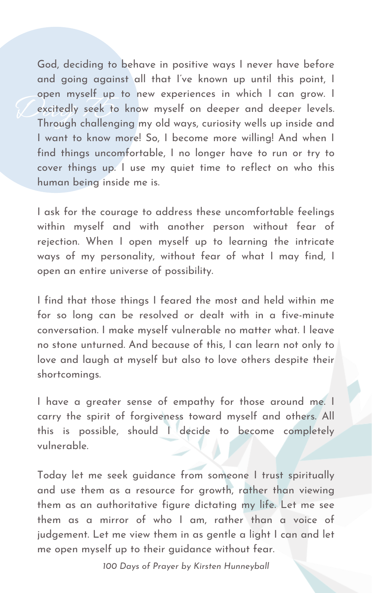Open mysell up to hew experiences in which I can grow. I<br>Excitedly seek to know myself on deeper and deeper levels.<br>Through challenging my old ways, curiosity wells up inside and God, deciding to behave in positive ways I never have before and going against all that I' ve known up until this point, I open myself up to new experiences in which I can grow. I excitedly seek to know myself on deeper and deeper levels. I want to know more! So, I become more willing! And when I find things uncomfortable, I no longer have to run or try to cover things up. I use my quiet time to reflect on who this human being inside me is.

I ask for the courage to address these uncomfortable feelings within myself and with another person without fear of rejection. When I open myself up to learning the intricate ways of my personality, without fear of what I may find, I open an entire universe of possibility.

I find that those things I feared the most and held within me for so long can be resolved or dealt with in a five-minute conversation. I make myself vulnerable no matter what. I leave no stone unturned. And because of this, I can learn not only to love and laugh at myself but also to love others despite their shortcomings.

I have a greater sense of empathy for those around me. I carry the spirit of forgiveness toward myself and others. All this is possible, should I decide to become completely vulnerable.

Today let me seek guidance from someone I trust spiritually and use them as a resource for growth, rather than viewing them as an authoritative figure dictating my life. Let me see them as a mirror of who I am, rather than a voice of judgement. Let me view them in as gentle a light I can and let me open myself up to their guidance without fear.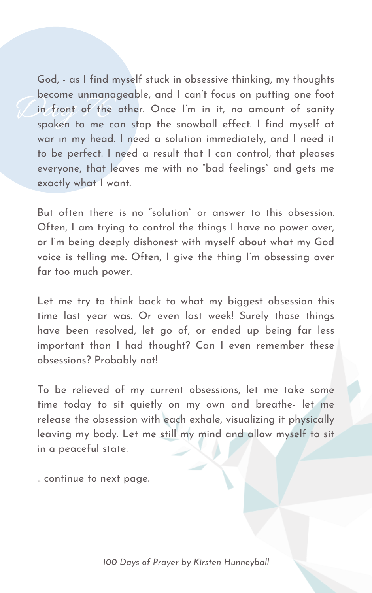Decome unmanaged<br>in front of the device to the case<br>spoken to me case God, - as I find myself stuck in obsessive thinking, my thoughts become unmanageable, and I can 't focus on putting one foot in front of the other. Once I' m in it, no amount of sanity spoken to me can stop the snowball effect. I find myself at war in my head. I need a solution immediately, and I need it to be perfect. I need a result that I can control, that pleases everyone, that leaves me with no "bad feelings " and gets me exactly what I want.

But often there is no " solution " or answer to this obsession. Often, I am trying to control the things I have no power over, or I' m being deeply dishonest with myself about what my God voice is telling me. Often, I give the thing I' m obsessing over far too much power.

Let me try to think back to what my biggest obsession this time last year was. Or even last week! Surely those things have been resolved, let go of, or ended up being far less important than I had thought? Can I even remember these obsessions? Probably not!

To be relieved of my current obsessions, let me take some time today to sit quietly on my own and breathe- let me release the obsession with each exhale, visualizing it physically leaving my body. Let me still my mind and allow myself to sit in a peaceful state.

.. continue to next page.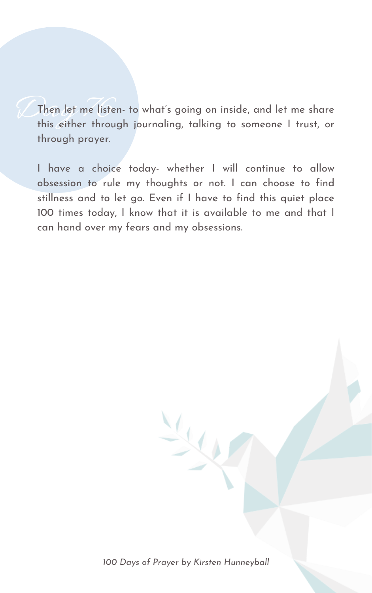Then let me listen- to what's<br>this either through journal s going on inside, and let me share this either through journaling, talking to someone I trust, or through prayer.

I have a choice today- whether I will continue to allow obsession to rule my thoughts or not. I can choose to find stillness and to let go. Even if I have to find this quiet place 100 times today, I know that it is available to me and that I can hand over my fears and my obsessions.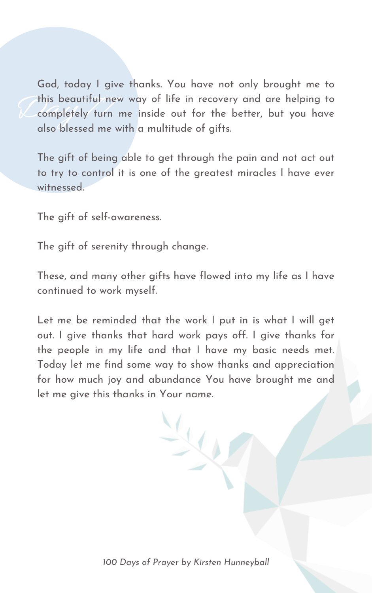this beautiful new way of life in recovery and are helping to<br>Completely turn me inside out for the better, but you have<br>also blossed me with a multitude of aifts God, today I give thanks. You have not only brought me to completely turn me inside out for the better, but you have also blessed me with a multitude of gifts.

The gift of being able to get through the pain and not act out to try to control it is one of the greatest miracles I have ever witnessed.

The gift of self-awareness.

The gift of serenity through change.

Let me be reminded that the work I put in is what I will get out. I give thanks that hard work pays off. I give thanks for the people in my life and that I have my basic needs met. Today let me find some way to show thanks and appreciation for how much joy and abundance You have brought me and let me give this thanks in Your name.

These, and many other gifts have flowed into my life as I have continued to work myself.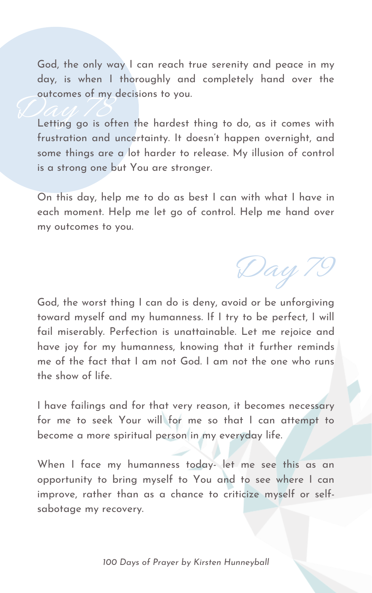God, the only way I can reach true serenity and peace in my day, is when I thoroughly and completely hand over the outcomes of my decisions to you.

Courcomes of my decisions to you.<br>Letting go is often the hardest thing to do, as it comes with frustration and uncertainty. It doesn 't happen overnight, and some things are a lot harder to release. My illusion of control is a strong one but You are stronger.

On this day, help me to do as best I can with what I have in each moment. Help me let go of control. Help me hand over my outcomes to you.

God, the worst thing I can do is deny, avoid or be unforgiving toward myself and my humanness. If I try to be perfect, I will fail miserably. Perfection is unattainable. Let me rejoice and have joy for my humanness, knowing that it further reminds me of the fact that I am not God. I am not the one who runs the show of life.

I have failings and for that very reason, it becomes necessary for me to seek Your will for me so that I can attempt to become a more spiritual person in my everyday life.

When I face my humanness today- let me see this as an opportunity to bring myself to You and to see where I can improve, rather than as a chance to criticize myself or selfsabotage my recovery.

Day 79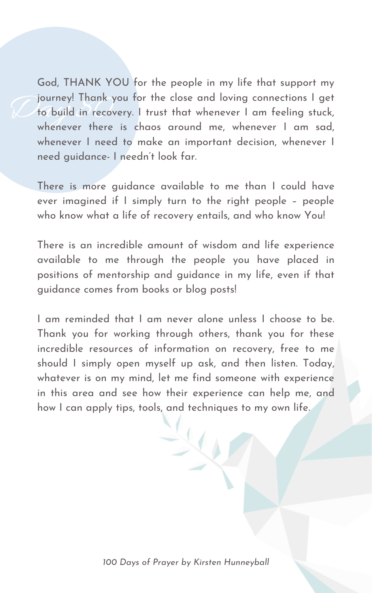Journey! Thank your<br>to build in recover<br>whenever there God, THANK YOU for the people in my life that support my journey! Thank you for the close and loving connections I get to build in recovery. I trust that whenever I am feeling stuck, whenever there is chaos around me, whenever I am sad, whenever I need to make an important decision, whenever I need guidance- I needn 't look far.

There is more guidance available to me than I could have ever imagined if I simply turn to the right people – people who know what a life of recovery entails, and who know You!

There is an incredible amount of wisdom and life experience available to me through the people you have placed in positions of mentorship and guidance in my life, even if that guidance comes from books or blog posts!

I am reminded that I am never alone unless I choose to be. Thank you for working through others, thank you for these incredible resources of information on recovery, free to me should I simply open myself up ask, and then listen. Today, whatever is on my mind, let me find someone with experience in this area and see how their experience can help me, and how I can apply tips, tools, and techniques to my own life.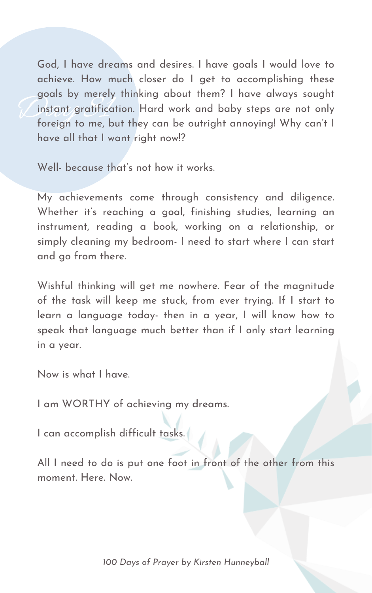goals by merely imitally doout them: I have always sought<br>instant gratification. Hard work and baby steps are not only<br>foreign to me, but they can be outright annoying! Why can't l God, I have dreams and desires. I have goals I would love to achieve. How much closer do I get to accomplishing these goals by merely thinking about them? I have always sought instant gratification. Hard work and baby steps are not only have all that I want right now!?

Well- because that' s not how it works.

My achievements come through consistency and diligence. Whether it' s reaching a goal, finishing studies, learning an instrument, reading a book, working on a relationship, or simply cleaning my bedroom- I need to start where I can start and go from there.

Wishful thinking will get me nowhere. Fear of the magnitude of the task will keep me stuck, from ever trying. If I start to learn a language today- then in a year, I will know how to speak that language much better than if I only start learning in a year.

Now is what I have.

I am WORTHY of achieving my dreams.

I can accomplish difficult tasks.

All I need to do is put one foot in front of the other from this moment. Here. Now.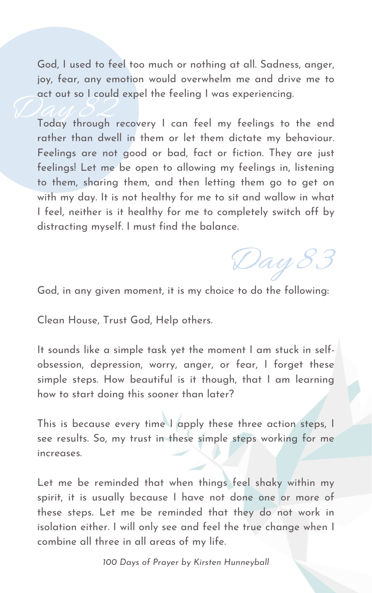God, I used to feel too much or nothing at all. Sadness, anger, joy, fear, any emotion would overwhelm me and drive me to act out so I could expel the feeling I was experiencing.

Today through recovery I can feel my feelings to the end rather than dwell in them or let them dictate my behaviour. Feelings are not good or bad, fact or fiction. They are just feelings! Let me be open to allowing my feelings in, listening to them, sharing them, and then letting them go to get on with my day. It is not healthy for me to sit and wallow in what I feel, neither is it healthy for me to completely switch off by distracting myself. I must find the balance.

God, in any given moment, it is my choice to do the following:

Clean House, Trust God, Help others.

It sounds like a simple task yet the moment I am stuck in selfobsession, depression, worry, anger, or fear, I forget these simple steps. How beautiful is it though, that I am learning how to start doing this sooner than later?

This is because every time I apply these three action steps, I see results. So, my trust in these simple steps working for me increases.

Let me be reminded that when things feel shaky within my spirit, it is usually because I have not done one or more of these steps. Let me be reminded that they do not work in isolation either. I will only see and feel the true change when I combine all three in all areas of my life.

Day 83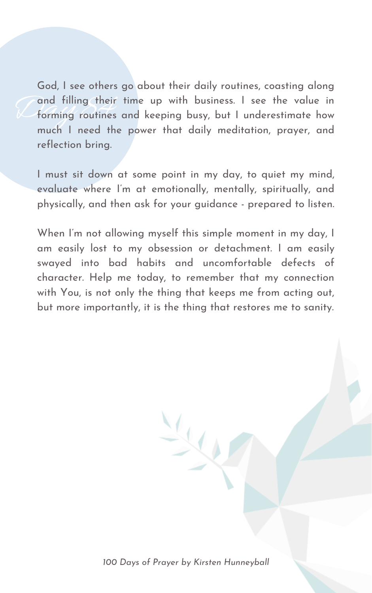and filling their God, I see others go about their daily routines, coasting along and filling their time up with business. I see the value in forming routines and keeping busy, but I underestimate how much I need the power that daily meditation, prayer, and reflection bring.

I must sit down at some point in my day, to quiet my mind, evaluate where I' m at emotionally, mentally, spiritually, and physically, and then ask for your guidance - prepared to listen.

When I' m not allowing myself this simple moment in my day, I am easily lost to my obsession or detachment. I am easily swayed into bad habits and uncomfortable defects of character. Help me today, to remember that my connection with You, is not only the thing that keeps me from acting out, but more importantly, it is the thing that restores me to sanity.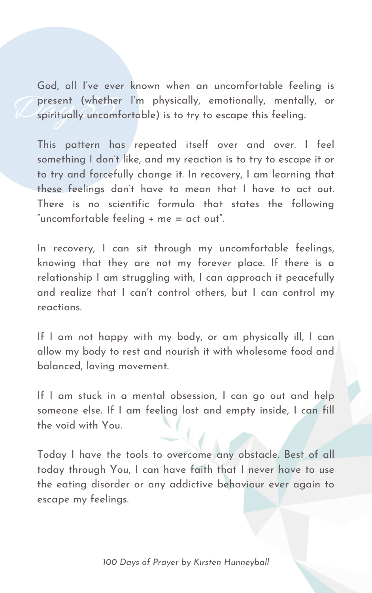present (whether I'm physically, emotionally, mentally, or spiritually uncomfortable) is to try to escape this feeling. God, all I' ve ever known when an uncomfortable feeling is spiritually uncomfortable) is to try to escape this feeling.

This pattern has repeated itself over and over. I feel something I don 't like, and my reaction is to try to escape it or to try and forcefully change it. In recovery, I am learning that these feelings don 't have to mean that I have to act out. There is no scientific formula that states the following " uncomfortable feeling + me = act out".

If I am not happy with my body, or am physically ill, I can allow my body to rest and nourish it with wholesome food and balanced, loving movement.

If I am stuck in a mental obsession, I can go out and help someone else. If I am feeling lost and empty inside, I can fill the void with You.

In recovery, I can sit through my uncomfortable feelings, knowing that they are not my forever place. If there is a relationship I am struggling with, I can approach it peacefully and realize that I can 't control others, but I can control my reactions.

Today I have the tools to overcome any obstacle. Best of all today through You, I can have faith that I never have to use the eating disorder or any addictive behaviour ever again to escape my feelings.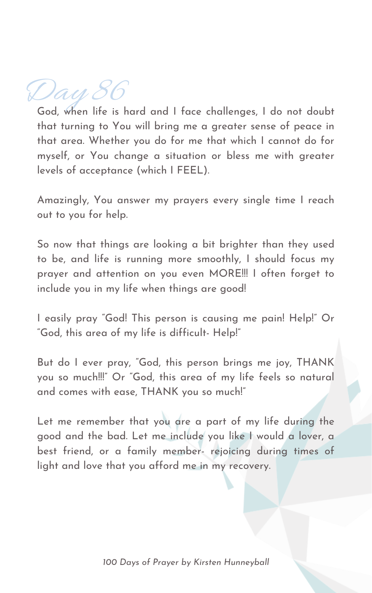Day 86

God, when life is hard and I face challenges, I do not doubt that turning to You will bring me a greater sense of peace in that area. Whether you do for me that which I cannot do for myself, or You change a situation or bless me with greater levels of acceptance (which I FEEL).

Amazingly, You answer my prayers every single time I reach out to you for help.

So now that things are looking a bit brighter than they used to be, and life is running more smoothly, I should focus my prayer and attention on you even MORE!!! I often forget to include you in my life when things are good!

I easily pray "God! This person is causing me pain! Help!" Or "God, this area of my life is difficult- Help!"

But do I ever pray, "God, this person brings me joy, THANK you so much!!!" Or "God, this area of my life feels so natural and comes with ease, THANK you so much!"

Let me remember that you are a part of my life during the good and the bad. Let me include you like I would a lover, a best friend, or a family member- rejoicing during times of light and love that you afford me in my recovery.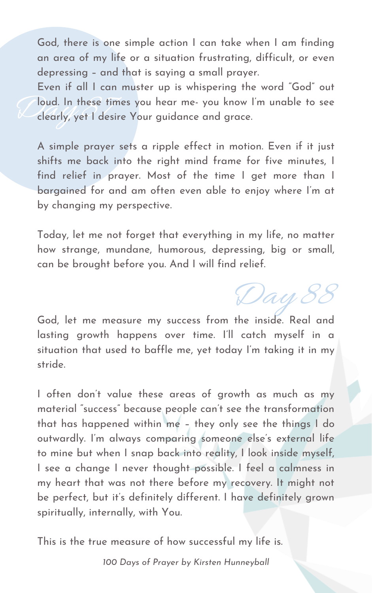Day 88

God, there is one simple action I can take when I am finding an area of my life or a situation frustrating, difficult, or even depressing – and that is saying a small prayer.

Joud. In these times<br>Clearly, yet I desire Even if all I can muster up is whispering the word "God" out loud. In these times you hear me- you know I' m unable to see clearly, yet I desire Your guidance and grace.

A simple prayer sets a ripple effect in motion. Even if it just shifts me back into the right mind frame for five minutes, I find relief in prayer. Most of the time I get more than I bargained for and am often even able to enjoy where I' m at by changing my perspective.

Today, let me not forget that everything in my life, no matter how strange, mundane, humorous, depressing, big or small, can be brought before you. And I will find relief.

God, let me measure my success from the inside. Real and lasting growth happens over time. I'll catch myself in a situation that used to baffle me, yet today I' m taking it in my stride.

I often don 't value these areas of growth as much as my material " success " because people can 't see the transformation that has happened within me – they only see the things I do outwardly. I' m always comparing someone else ' s external life to mine but when I snap back into reality, I look inside myself, I see a change I never thought possible. I feel a calmness in my heart that was not there before my recovery. It might not be perfect, but it' s definitely different. I have definitely grown spiritually, internally, with You.

This is the true measure of how successful my life is.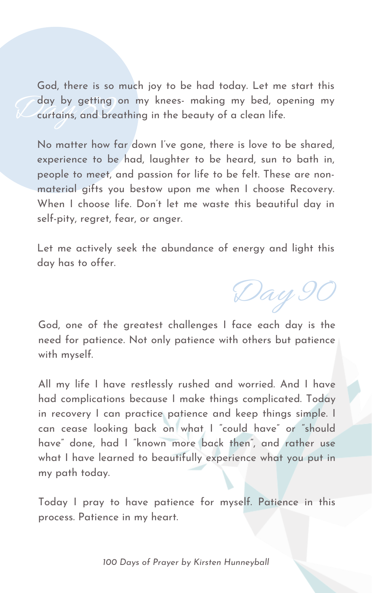Lay by getting on my knees- making my bed, opening my curtains, and breathing in the beauty of a clean life. God, there is so much joy to be had today. Let me start this curtains, and breathing in the beauty of a clean life.

No matter how far down I' ve gone, there is love to be shared, experience to be had, laughter to be heard, sun to bath in, people to meet, and passion for life to be felt. These are nonmaterial gifts you bestow upon me when I choose Recovery. When I choose life. Don 't let me waste this beautiful day in self-pity, regret, fear, or anger.

Let me actively seek the abundance of energy and light this day has to offer.

 $\bigtriangledown$ ay  $9$ 

God, one of the greatest challenges I face each day is the need for patience. Not only patience with others but patience with myself.

All my life I have restlessly rushed and worried. And I have had complications because I make things complicated. Today in recovery I can practice patience and keep things simple. I can cease looking back on what I " could have " or " should have " done, had I "known more back then " , and rather use what I have learned to beautifully experience what you put in my path today.

Today I pray to have patience for myself. Patience in this process. Patience in my heart.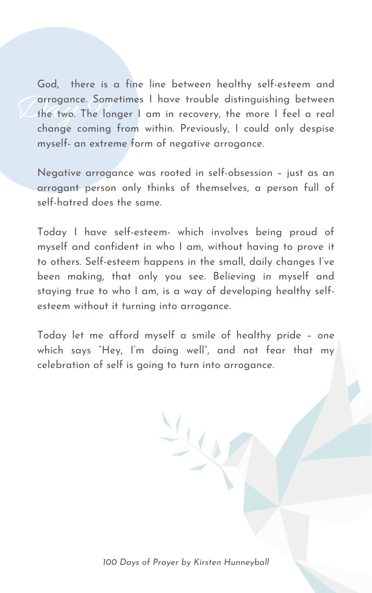arrogance. Some<br>
the two. The lon God, there is a fine line between healthy self-esteem and arrogance. Sometimes I have trouble distinguishing between the two. The longer I am in recovery, the more I feel a real change coming from within. Previously, I could only despise myself- an extreme form of negative arrogance.

Negative arrogance was rooted in self-obsession – just as an arrogant person only thinks of themselves, a person full of self-hatred does the same.

Today I have self-esteem- which involves being proud of myself and confident in who I am, without having to prove it to others. Self-esteem happens in the small, daily changes I' ve been making, that only you see. Believing in myself and staying true to who I am, is a way of developing healthy selfesteem without it turning into arrogance.

Today let me afford myself a smile of healthy pride – one which says "Hey, I' m doing well" , and not fear that my celebration of self is going to turn into arrogance.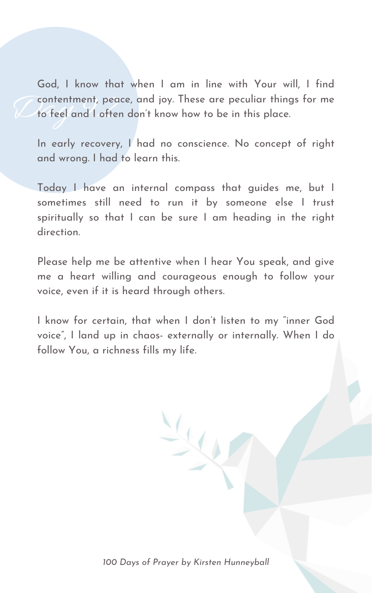Contentment, peac God, I know that when I am in line with Your will, I find contentment, peace, and joy. These are peculiar things for me to feel and I often don 't know how to be in this place.

In early recovery, I had no conscience. No concept of right and wrong. I had to learn this.

Today I have an internal compass that guides me, but I sometimes still need to run it by someone else I trust spiritually so that I can be sure I am heading in the right direction.

Please help me be attentive when I hear You speak, and give me a heart willing and courageous enough to follow your voice, even if it is heard through others.

I know for certain, that when I don 't listen to my "inner God voice " , I land up in chaos- externally or internally. When I do follow You, a richness fills my life.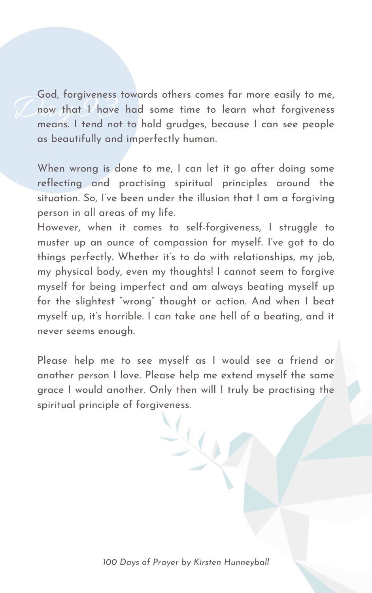God, rorgiveness<br>mow that I have<br>means. I tend not God, forgiveness towards others comes far more easily to me, now that I have had some time to learn what forgiveness means. I tend not to hold grudges, because I can see people as beautifully and imperfectly human.

When wrong is done to me, I can let it go after doing some reflecting and practising spiritual principles around the situation. So, I' ve been under the illusion that I am a forgiving person in all areas of my life.

Please help me to see myself as I would see a friend or another person I love. Please help me extend myself the same grace I would another. Only then will I truly be practising the spiritual principle of forgiveness.

However, when it comes to self-forgiveness, I struggle to muster up an ounce of compassion for myself. I' ve got to do things perfectly. Whether it' s to do with relationships, my job, my physical body, even my thoughts! I cannot seem to forgive myself for being imperfect and am always beating myself up for the slightest " wrong " thought or action. And when I beat myself up, it' s horrible. I can take one hell of a beating, and it never seems enough.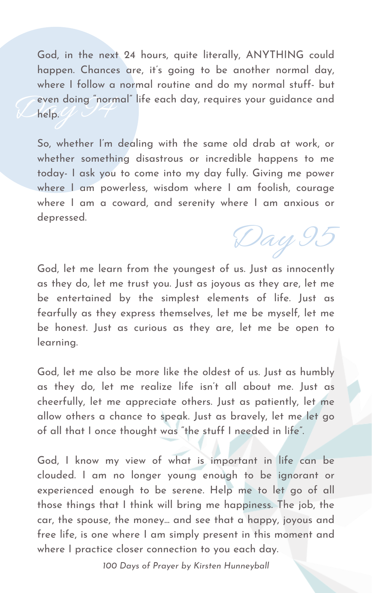Even doing "normal" life each day, requires your guidance and<br>Life help. God, in the next 24 hours, quite literally, ANYTHING could happen. Chances are, it' s going to be another normal day, where I follow a normal routine and do my normal stuff- but help.

So, whether I' m dealing with the same old drab at work, or whether something disastrous or incredible happens to me today- I ask you to come into my day fully. Giving me power where I am powerless, wisdom where I am foolish, courage where I am a coward, and serenity where I am anxious or depressed.

God, let me learn from the youngest of us. Just as innocently as they do, let me trust you. Just as joyous as they are, let me be entertained by the simplest elements of life. Just as fearfully as they express themselves, let me be myself, let me be honest. Just as curious as they are, let me be open to learning.

God, let me also be more like the oldest of us. Just as humbly as they do, let me realize life isn 't all about me. Just as cheerfully, let me appreciate others. Just as patiently, let me allow others a chance to speak. Just as bravely, let me let go of all that I once thought was "the stuff I needed in life ".

God, I know my view of what is important in life can be clouded. I am no longer young enough to be ignorant or experienced enough to be serene. Help me to let go of all those things that I think will bring me happiness. The job, the car, the spouse, the money... and see that a happy, joyous and free life, is one where I am simply present in this moment and where I practice closer connection to you each day.

Day 95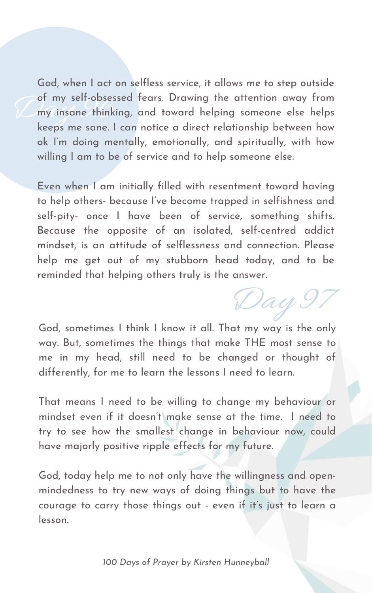of my self-obsess<br>my insane thinkin<br>keeps me sane La God, when I act on selfless service, it allows me to step outside of my self-obsessed fears. Drawing the attention away from my insane thinking, and toward helping someone else helps keeps me sane. I can notice a direct relationship between how ok I' m doing mentally, emotionally, and spiritually, with how willing I am to be of service and to help someone else.

Even when I am initially filled with resentment toward having to help others- because I' ve become trapped in selfishness and self-pity- once I have been of service, something shifts. Because the opposite of an isolated, self-centred addict mindset, is an attitude of selflessness and connection. Please help me get out of my stubborn head today, and to be reminded that helping others truly is the answer.

au.

God, sometimes I think I know it all. That my way is the only way. But, sometimes the things that make THE most sense to me in my head, still need to be changed or thought of differently, for me to learn the lessons I need to learn.

That means I need to be willing to change my behaviour or mindset even if it doesn 't make sense at the time. I need to try to see how the smallest change in behaviour now, could have majorly positive ripple effects for my future.

God, today help me to not only have the willingness and openmindedness to try new ways of doing things but to have the courage to carry those things out - even if it' s just to learn a lesson.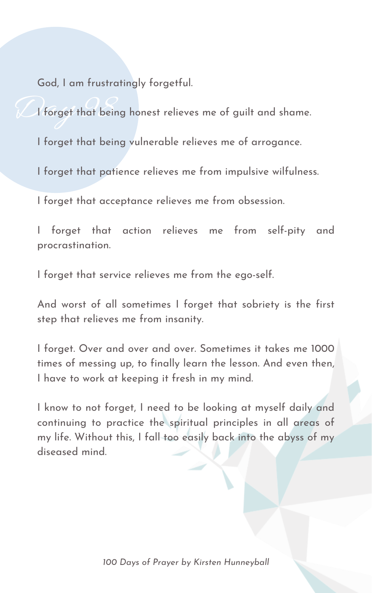God, I am frustratingly forgetful.

De forget that being I forget that being honest relieves me of guilt and shame. I forget that being vulnerable relieves me of arrogance. I forget that patience relieves me from impulsive wilfulness. I forget that acceptance relieves me from obsession.

I forget that action relieves me from self-pity and procrastination.

I forget that service relieves me from the ego-self.

And worst of all sometimes I forget that sobriety is the first step that relieves me from insanity.

I forget. Over and over and over. Sometimes it takes me 1000 times of messing up, to finally learn the lesson. And even then, I have to work at keeping it fresh in my mind.

I know to not forget, I need to be looking at myself daily and continuing to practice the spiritual principles in all areas of my life. Without this, I fall too easily back into the abyss of my diseased mind.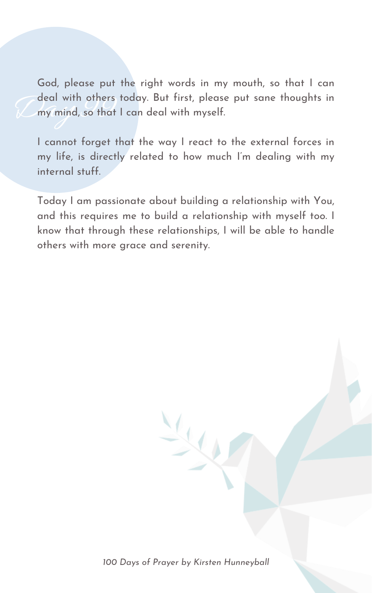deal with others the state of the state of the state of the state of the state of the state of the state of the state of the state of the state of the state of the state of the state of the state of the state of the state God, please put the right words in my mouth, so that I can deal with others today. But first, please put sane thoughts in my mind, so that I can deal with myself.

I cannot forget that the way I react to the external forces in my life, is directly related to how much I' m dealing with my internal stuff.

Today I am passionate about building a relationship with You, and this requires me to build a relationship with myself too. I know that through these relationships, I will be able to handle others with more grace and serenity.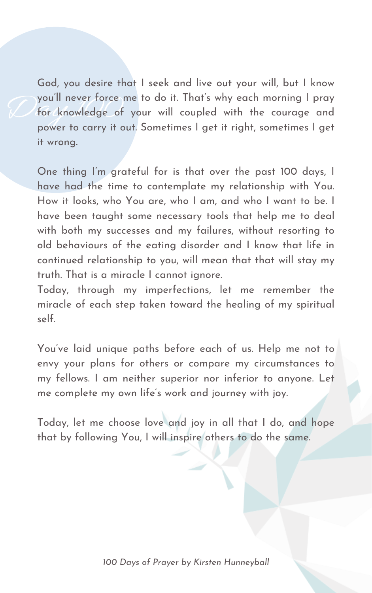you'll never force m<br>for knowledge of<br>power to carry it ou God, you desire that I seek and live out your will, but I know you 'll never force me to do it. That' s why each morning I pray for knowledge of your will coupled with the courage and power to carry it out. Sometimes I get it right, sometimes I get it wrong.

One thing I' m grateful for is that over the past 100 days, I have had the time to contemplate my relationship with You. How it looks, who You are, who I am, and who I want to be. I have been taught some necessary tools that help me to deal with both my successes and my failures, without resorting to old behaviours of the eating disorder and I know that life in continued relationship to you, will mean that that will stay my truth. That is a miracle I cannot ignore.

You've laid unique paths before each of us. Help me not to envy your plans for others or compare my circumstances to my fellows. I am neither superior nor inferior to anyone. Let me complete my own life ' s work and journey with joy.

Today, through my imperfections, let me remember the miracle of each step taken toward the healing of my spiritual self.

Today, let me choose love and joy in all that I do, and hope that by following You, I will inspire others to do the same.